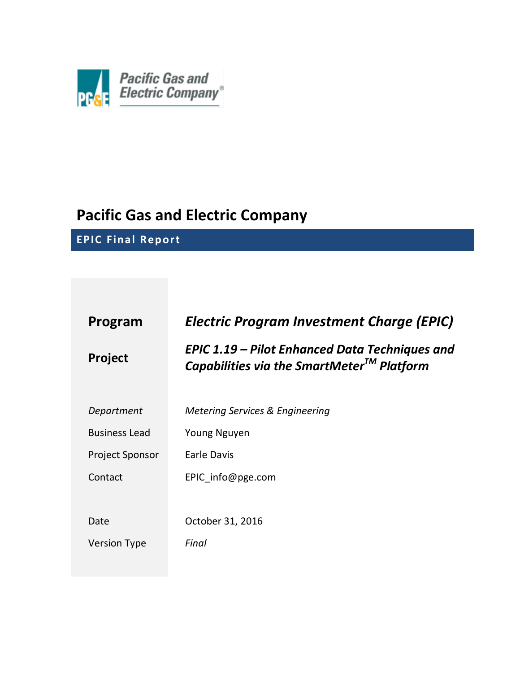

# **Pacific Gas and Electric Company**

**EPIC Final Report**

| Program                | <b>Electric Program Investment Charge (EPIC)</b>                                                         |
|------------------------|----------------------------------------------------------------------------------------------------------|
| <b>Project</b>         | EPIC 1.19 – Pilot Enhanced Data Techniques and<br>Capabilities via the SmartMeter <sup>TM</sup> Platform |
| Department             | Metering Services & Engineering                                                                          |
| <b>Business Lead</b>   | Young Nguyen                                                                                             |
| <b>Project Sponsor</b> | Earle Davis                                                                                              |
| Contact                | EPIC info@pge.com                                                                                        |
|                        |                                                                                                          |
| Date                   | October 31, 2016                                                                                         |
| <b>Version Type</b>    | Final                                                                                                    |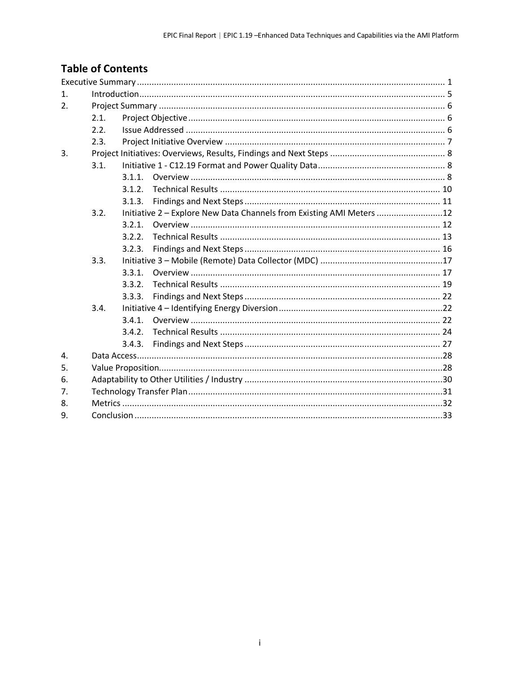## **Table of Contents**

| 1 <sub>1</sub> |      |        |                                                                      |  |
|----------------|------|--------|----------------------------------------------------------------------|--|
| 2.             |      |        |                                                                      |  |
|                | 2.1. |        |                                                                      |  |
|                | 2.2. |        |                                                                      |  |
|                | 2.3. |        |                                                                      |  |
| 3.             |      |        |                                                                      |  |
|                | 3.1. |        |                                                                      |  |
|                |      | 3.1.1. |                                                                      |  |
|                |      | 3.1.2. |                                                                      |  |
|                |      | 3.1.3. |                                                                      |  |
|                | 3.2. |        | Initiative 2 - Explore New Data Channels from Existing AMI Meters 12 |  |
|                |      | 3.2.1. |                                                                      |  |
|                |      | 3.2.2. |                                                                      |  |
|                |      | 3.2.3. |                                                                      |  |
|                | 3.3. |        |                                                                      |  |
|                |      | 3.3.1. |                                                                      |  |
|                |      | 3.3.2. |                                                                      |  |
|                |      | 3.3.3. |                                                                      |  |
|                | 3.4. |        |                                                                      |  |
|                |      | 3.4.1. |                                                                      |  |
|                |      | 3.4.2. |                                                                      |  |
|                |      | 3.4.3. |                                                                      |  |
| 4.             |      |        |                                                                      |  |
| 5.             |      |        |                                                                      |  |
| 6.             |      |        |                                                                      |  |
| 7.             |      |        |                                                                      |  |
| 8.             |      |        |                                                                      |  |
| 9.             |      |        |                                                                      |  |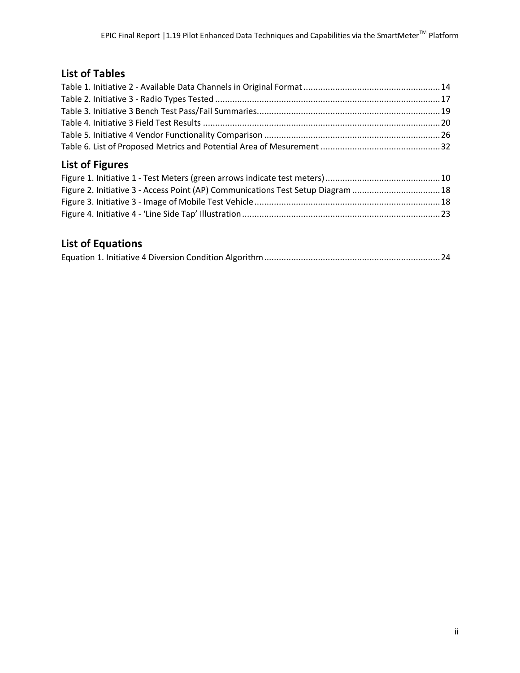## **List of Tables**

## **List of Figures**

| Figure 2. Initiative 3 - Access Point (AP) Communications Test Setup Diagram 18 |  |
|---------------------------------------------------------------------------------|--|
|                                                                                 |  |
|                                                                                 |  |

## **List of Equations**

|--|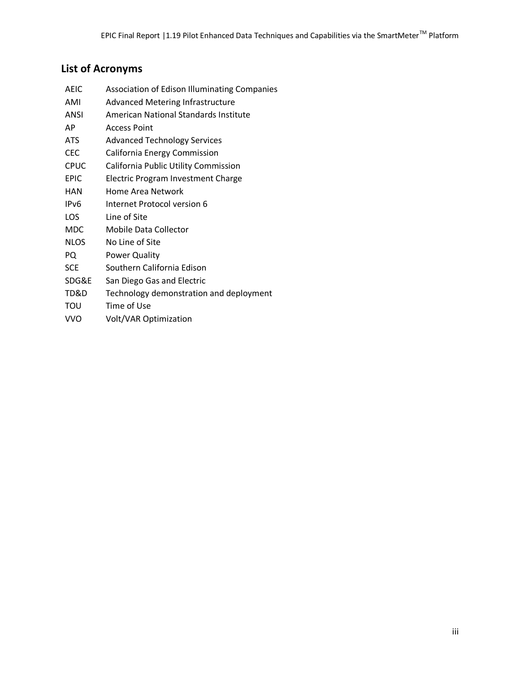## **List of Acronyms**

| AEIC        | <b>Association of Edison Illuminating Companies</b> |
|-------------|-----------------------------------------------------|
| AMI         | <b>Advanced Metering Infrastructure</b>             |
| ANSI        | American National Standards Institute               |
| AP          | Access Point                                        |
| <b>ATS</b>  | <b>Advanced Technology Services</b>                 |
| <b>CEC</b>  | California Energy Commission                        |
| <b>CPUC</b> | California Public Utility Commission                |
| <b>EPIC</b> | Electric Program Investment Charge                  |
| HAN         | Home Area Network                                   |
| IPv6        | Internet Protocol version 6                         |
| LOS         | Line of Site                                        |
| <b>MDC</b>  | Mobile Data Collector                               |
| <b>NLOS</b> | No Line of Site                                     |
| PQ          | <b>Power Quality</b>                                |
| <b>SCE</b>  | Southern California Edison                          |
| SDG&E       | San Diego Gas and Electric                          |
| TD&D        | Technology demonstration and deployment             |
| ΤΟυ         | Time of Use                                         |
|             |                                                     |

VVO Volt/VAR Optimization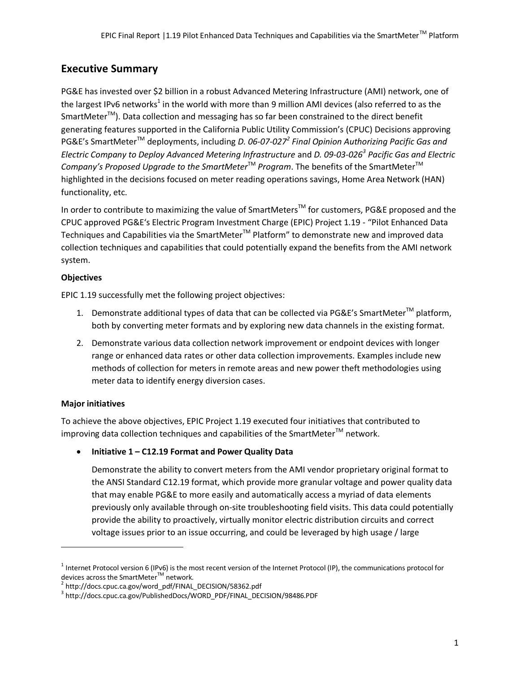## **Executive Summary**

PG&E has invested over \$2 billion in a robust Advanced Metering Infrastructure (AMI) network, one of the largest IPv6 networks<sup>1</sup> in the world with more than 9 million AMI devices (also referred to as the  $S$ martMeter<sup>TM</sup>). Data collection and messaging has so far been constrained to the direct benefit generating features supported in the California Public Utility Commission's (CPUC) Decisions approving PG&E's SmartMeter<sup>™</sup> deployments, including *D. 06-07-027<sup>2</sup> Final Opinion Authorizing Pacific Gas and Electric Company to Deploy Advanced Metering Infrastructure* and *D. 09-03-026<sup>3</sup> Pacific Gas and Electric Company's Proposed Upgrade to the SmartMeter*™ *Program*. The benefits of the SmartMeter<sup>™</sup> highlighted in the decisions focused on meter reading operations savings, Home Area Network (HAN) functionality, etc.

In order to contribute to maximizing the value of SmartMeters<sup>™</sup> for customers, PG&E proposed and the CPUC approved PG&E's Electric Program Investment Charge (EPIC) Project 1.19 - "Pilot Enhanced Data Techniques and Capabilities via the SmartMeter<sup>™</sup> Platform" to demonstrate new and improved data collection techniques and capabilities that could potentially expand the benefits from the AMI network system.

### **Objectives**

EPIC 1.19 successfully met the following project objectives:

- 1. Demonstrate additional types of data that can be collected via PG&E's SmartMeter<sup>TM</sup> platform, both by converting meter formats and by exploring new data channels in the existing format.
- 2. Demonstrate various data collection network improvement or endpoint devices with longer range or enhanced data rates or other data collection improvements. Examples include new methods of collection for meters in remote areas and new power theft methodologies using meter data to identify energy diversion cases.

## **Major initiatives**

 $\overline{\phantom{a}}$ 

To achieve the above objectives, EPIC Project 1.19 executed four initiatives that contributed to improving data collection techniques and capabilities of the SmartMeter $^{TM}$  network.

**Initiative 1 – C12.19 Format and Power Quality Data**

Demonstrate the ability to convert meters from the AMI vendor proprietary original format to the ANSI Standard C12.19 format, which provide more granular voltage and power quality data that may enable PG&E to more easily and automatically access a myriad of data elements previously only available through on-site troubleshooting field visits. This data could potentially provide the ability to proactively, virtually monitor electric distribution circuits and correct voltage issues prior to an issue occurring, and could be leveraged by high usage / large

 $^1$  Internet Protocol version 6 (IPv6) is the most recent version of the Internet Protocol (IP), the communications protocol for devices across the SmartMeter™ network.

<sup>2</sup> http://docs.cpuc.ca.gov/word\_pdf/FINAL\_DECISION/58362.pdf

<sup>&</sup>lt;sup>3</sup> [http://docs.cpuc.ca.gov/PublishedDocs/WORD\\_PDF/FINAL\\_DECISION/98486.PDF](http://docs.cpuc.ca.gov/PublishedDocs/WORD_PDF/FINAL_DECISION/98486.PDF)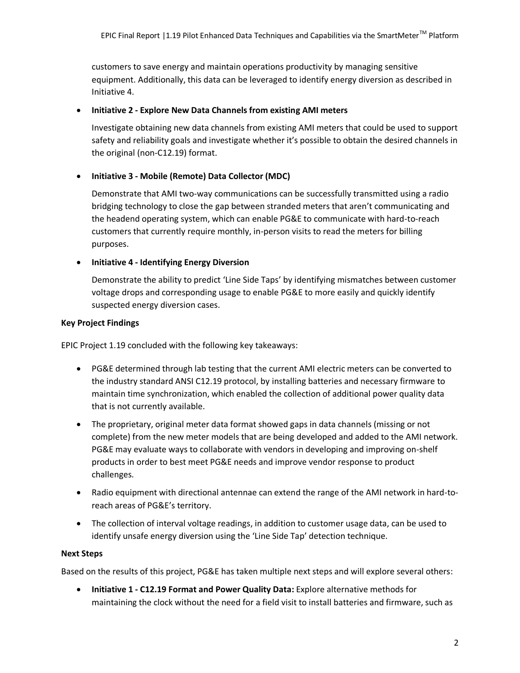customers to save energy and maintain operations productivity by managing sensitive equipment. Additionally, this data can be leveraged to identify energy diversion as described in Initiative 4.

#### **Initiative 2 - Explore New Data Channels from existing AMI meters**

Investigate obtaining new data channels from existing AMI meters that could be used to support safety and reliability goals and investigate whether it's possible to obtain the desired channels in the original (non-C12.19) format.

#### **Initiative 3 - Mobile (Remote) Data Collector (MDC)**

Demonstrate that AMI two-way communications can be successfully transmitted using a radio bridging technology to close the gap between stranded meters that aren't communicating and the headend operating system, which can enable PG&E to communicate with hard-to-reach customers that currently require monthly, in-person visits to read the meters for billing purposes.

#### **Initiative 4 - Identifying Energy Diversion**

Demonstrate the ability to predict 'Line Side Taps' by identifying mismatches between customer voltage drops and corresponding usage to enable PG&E to more easily and quickly identify suspected energy diversion cases.

#### **Key Project Findings**

EPIC Project 1.19 concluded with the following key takeaways:

- PG&E determined through lab testing that the current AMI electric meters can be converted to the industry standard ANSI C12.19 protocol, by installing batteries and necessary firmware to maintain time synchronization, which enabled the collection of additional power quality data that is not currently available.
- The proprietary, original meter data format showed gaps in data channels (missing or not complete) from the new meter models that are being developed and added to the AMI network. PG&E may evaluate ways to collaborate with vendors in developing and improving on-shelf products in order to best meet PG&E needs and improve vendor response to product challenges.
- Radio equipment with directional antennae can extend the range of the AMI network in hard-toreach areas of PG&E's territory.
- The collection of interval voltage readings, in addition to customer usage data, can be used to identify unsafe energy diversion using the 'Line Side Tap' detection technique.

#### **Next Steps**

Based on the results of this project, PG&E has taken multiple next steps and will explore several others:

 **Initiative 1 - C12.19 Format and Power Quality Data:** Explore alternative methods for maintaining the clock without the need for a field visit to install batteries and firmware, such as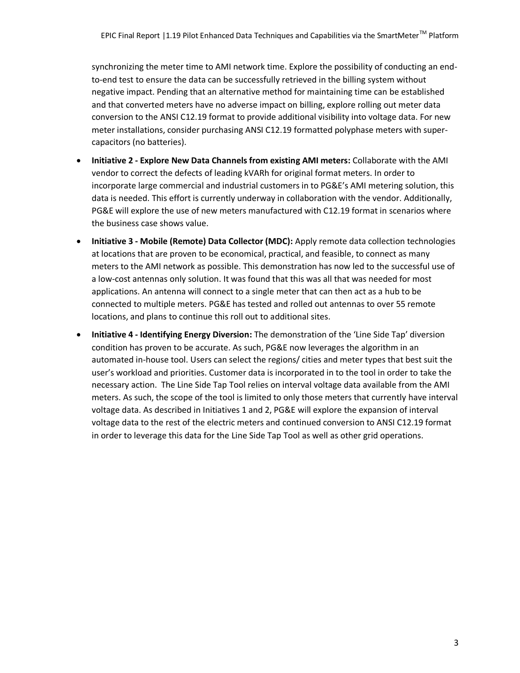synchronizing the meter time to AMI network time. Explore the possibility of conducting an endto-end test to ensure the data can be successfully retrieved in the billing system without negative impact. Pending that an alternative method for maintaining time can be established and that converted meters have no adverse impact on billing, explore rolling out meter data conversion to the ANSI C12.19 format to provide additional visibility into voltage data. For new meter installations, consider purchasing ANSI C12.19 formatted polyphase meters with supercapacitors (no batteries).

- **Initiative 2 - Explore New Data Channels from existing AMI meters:** Collaborate with the AMI vendor to correct the defects of leading kVARh for original format meters. In order to incorporate large commercial and industrial customers in to PG&E's AMI metering solution, this data is needed. This effort is currently underway in collaboration with the vendor. Additionally, PG&E will explore the use of new meters manufactured with C12.19 format in scenarios where the business case shows value.
- **Initiative 3 - Mobile (Remote) Data Collector (MDC):** Apply remote data collection technologies at locations that are proven to be economical, practical, and feasible, to connect as many meters to the AMI network as possible. This demonstration has now led to the successful use of a low-cost antennas only solution. It was found that this was all that was needed for most applications. An antenna will connect to a single meter that can then act as a hub to be connected to multiple meters. PG&E has tested and rolled out antennas to over 55 remote locations, and plans to continue this roll out to additional sites.
- **Initiative 4 - Identifying Energy Diversion:** The demonstration of the 'Line Side Tap' diversion condition has proven to be accurate. As such, PG&E now leverages the algorithm in an automated in-house tool. Users can select the regions/ cities and meter types that best suit the user's workload and priorities. Customer data is incorporated in to the tool in order to take the necessary action. The Line Side Tap Tool relies on interval voltage data available from the AMI meters. As such, the scope of the tool is limited to only those meters that currently have interval voltage data. As described in Initiatives 1 and 2, PG&E will explore the expansion of interval voltage data to the rest of the electric meters and continued conversion to ANSI C12.19 format in order to leverage this data for the Line Side Tap Tool as well as other grid operations.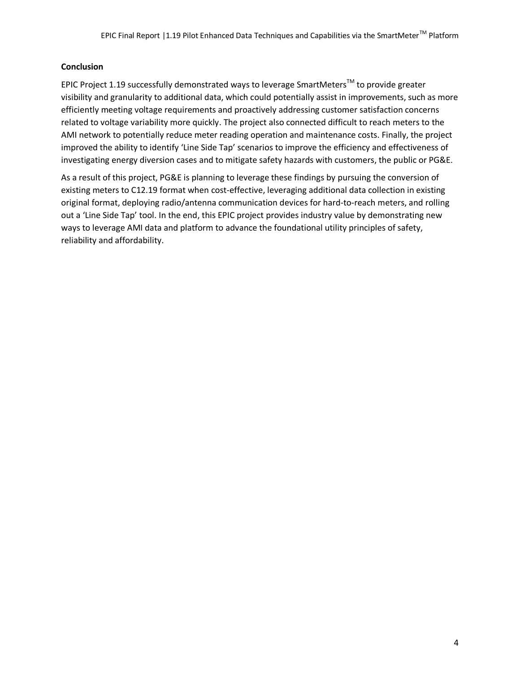#### **Conclusion**

EPIC Project 1.19 successfully demonstrated ways to leverage SmartMeters<sup>™</sup> to provide greater visibility and granularity to additional data, which could potentially assist in improvements, such as more efficiently meeting voltage requirements and proactively addressing customer satisfaction concerns related to voltage variability more quickly. The project also connected difficult to reach meters to the AMI network to potentially reduce meter reading operation and maintenance costs. Finally, the project improved the ability to identify 'Line Side Tap' scenarios to improve the efficiency and effectiveness of investigating energy diversion cases and to mitigate safety hazards with customers, the public or PG&E.

As a result of this project, PG&E is planning to leverage these findings by pursuing the conversion of existing meters to C12.19 format when cost-effective, leveraging additional data collection in existing original format, deploying radio/antenna communication devices for hard-to-reach meters, and rolling out a 'Line Side Tap' tool. In the end, this EPIC project provides industry value by demonstrating new ways to leverage AMI data and platform to advance the foundational utility principles of safety, reliability and affordability.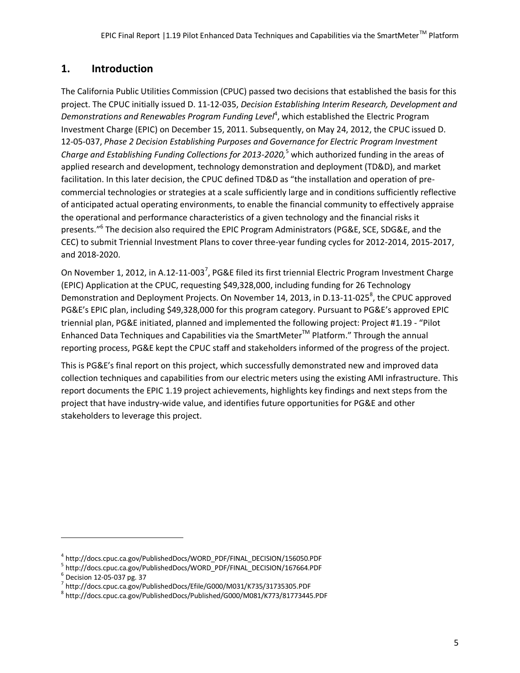## **1. Introduction**

The California Public Utilities Commission (CPUC) passed two decisions that established the basis for this project. The CPUC initially issued D. 11-12-035, *Decision Establishing Interim Research, Development and*  Demonstrations and Renewables Program Funding Level<sup>4</sup>, which established the Electric Program Investment Charge (EPIC) on December 15, 2011. Subsequently, on May 24, 2012, the CPUC issued D. 12-05-037, *Phase 2 Decision Establishing Purposes and Governance for Electric Program Investment Charge and Establishing Funding Collections for 2013-2020,*<sup>5</sup> which authorized funding in the areas of applied research and development, technology demonstration and deployment (TD&D), and market facilitation. In this later decision, the CPUC defined TD&D as "the installation and operation of precommercial technologies or strategies at a scale sufficiently large and in conditions sufficiently reflective of anticipated actual operating environments, to enable the financial community to effectively appraise the operational and performance characteristics of a given technology and the financial risks it presents." 6 The decision also required the EPIC Program Administrators (PG&E, SCE, SDG&E, and the CEC) to submit Triennial Investment Plans to cover three-year funding cycles for 2012-2014, 2015-2017, and 2018-2020.

On November 1, 2012, in A.12-11-003<sup>7</sup>, PG&E filed its first triennial Electric Program Investment Charge (EPIC) Application at the CPUC, requesting \$49,328,000, including funding for 26 Technology Demonstration and Deployment Projects. On November 14, 2013, in D.13-11-025<sup>8</sup>, the CPUC approved PG&E's EPIC plan, including \$49,328,000 for this program category. Pursuant to PG&E's approved EPIC triennial plan, PG&E initiated, planned and implemented the following project: Project #1.19 - "Pilot Enhanced Data Techniques and Capabilities via the SmartMeter™ Platform." Through the annual reporting process, PG&E kept the CPUC staff and stakeholders informed of the progress of the project.

This is PG&E's final report on this project, which successfully demonstrated new and improved data collection techniques and capabilities from our electric meters using the existing AMI infrastructure. This report documents the EPIC 1.19 project achievements, highlights key findings and next steps from the project that have industry-wide value, and identifies future opportunities for PG&E and other stakeholders to leverage this project.

 $\overline{a}$ 

<sup>4</sup> [http://docs.cpuc.ca.gov/PublishedDocs/WORD\\_PDF/FINAL\\_DECISION/156050.PDF](https://sps.utility.pge.com/sites/SGTP/Shared%20Documents/SGTP%20All%20Stakeholders/SGTP%20Emerging%20Technology%20Programs%20(ETP)/Project%20Docs/EPIC/EPIC%201/1.19-Enhanced%20Data%20Techniques-AMI/Closeout/Final%20Report/%20http:/docs.cpuc.ca.gov/PublishedDocs/WORD_PDF/FINAL_DECISION/156050.PDF)

<sup>&</sup>lt;sup>5</sup> [http://docs.cpuc.ca.gov/PublishedDocs/WORD\\_PDF/FINAL\\_DECISION/167664.PDF](http://docs.cpuc.ca.gov/PublishedDocs/WORD_PDF/FINAL_DECISION/167664.PDF)

<sup>6</sup> Decision 12-05-037 pg. 37

<sup>&</sup>lt;sup>7</sup> <http://docs.cpuc.ca.gov/PublishedDocs/Efile/G000/M031/K735/31735305.PDF>

<sup>&</sup>lt;sup>8</sup> <http://docs.cpuc.ca.gov/PublishedDocs/Published/G000/M081/K773/81773445.PDF>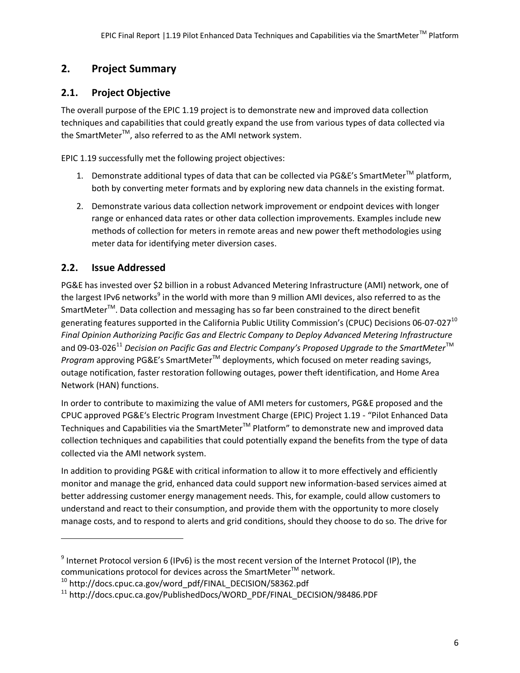## **2. Project Summary**

## **2.1. Project Objective**

The overall purpose of the EPIC 1.19 project is to demonstrate new and improved data collection techniques and capabilities that could greatly expand the use from various types of data collected via the SmartMeter<sup>™</sup>, also referred to as the AMI network system.

EPIC 1.19 successfully met the following project objectives:

- 1. Demonstrate additional types of data that can be collected via PG&E's SmartMeter<sup>™</sup> platform, both by converting meter formats and by exploring new data channels in the existing format.
- 2. Demonstrate various data collection network improvement or endpoint devices with longer range or enhanced data rates or other data collection improvements. Examples include new methods of collection for meters in remote areas and new power theft methodologies using meter data for identifying meter diversion cases.

## **2.2. Issue Addressed**

 $\overline{a}$ 

PG&E has invested over \$2 billion in a robust Advanced Metering Infrastructure (AMI) network, one of the largest IPv6 networks<sup>9</sup> in the world with more than 9 million AMI devices, also referred to as the SmartMeter<sup>™</sup>. Data collection and messaging has so far been constrained to the direct benefit generating features supported in the California Public Utility Commission's (CPUC) Decisions 06-07-027<sup>10</sup> *Final Opinion Authorizing Pacific Gas and Electric Company to Deploy Advanced Metering Infrastructure* and 09-03-026<sup>11</sup> Decision on Pacific Gas and Electric Company's Proposed Upgrade to the SmartMeter<sup>™</sup> *Program* approving PG&E's SmartMeter<sup>™</sup> deployments, which focused on meter reading savings, outage notification, faster restoration following outages, power theft identification, and Home Area Network (HAN) functions.

In order to contribute to maximizing the value of AMI meters for customers, PG&E proposed and the CPUC approved PG&E's Electric Program Investment Charge (EPIC) Project 1.19 - "Pilot Enhanced Data Techniques and Capabilities via the SmartMeter<sup>™</sup> Platform" to demonstrate new and improved data collection techniques and capabilities that could potentially expand the benefits from the type of data collected via the AMI network system.

In addition to providing PG&E with critical information to allow it to more effectively and efficiently monitor and manage the grid, enhanced data could support new information-based services aimed at better addressing customer energy management needs. This, for example, could allow customers to understand and react to their consumption, and provide them with the opportunity to more closely manage costs, and to respond to alerts and grid conditions, should they choose to do so. The drive for

 $^9$  Internet Protocol version 6 (IPv6) is the most recent version of the Internet Protocol (IP), the communications protocol for devices across the SmartMeter $^{TM}$  network.

 $10$  http://docs.cpuc.ca.gov/word\_pdf/FINAL\_DECISION/58362.pdf

<sup>&</sup>lt;sup>11</sup> http://docs.cpuc.ca.gov/PublishedDocs/WORD\_PDF/FINAL\_DECISION/98486.PDF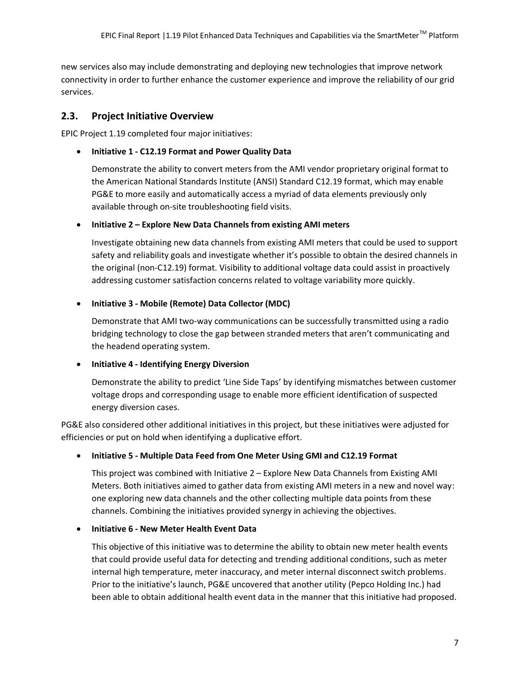new services also may include demonstrating and deploying new technologies that improve network connectivity in order to further enhance the customer experience and improve the reliability of our grid services.

## **2.3. Project Initiative Overview**

EPIC Project 1.19 completed four major initiatives:

### **Initiative 1 - C12.19 Format and Power Quality Data**

Demonstrate the ability to convert meters from the AMI vendor proprietary original format to the American National Standards Institute (ANSI) Standard C12.19 format, which may enable PG&E to more easily and automatically access a myriad of data elements previously only available through on-site troubleshooting field visits.

**Initiative 2 – Explore New Data Channels from existing AMI meters** 

Investigate obtaining new data channels from existing AMI meters that could be used to support safety and reliability goals and investigate whether it's possible to obtain the desired channels in the original (non-C12.19) format. Visibility to additional voltage data could assist in proactively addressing customer satisfaction concerns related to voltage variability more quickly.

## **Initiative 3 - Mobile (Remote) Data Collector (MDC)**

Demonstrate that AMI two-way communications can be successfully transmitted using a radio bridging technology to close the gap between stranded meters that aren't communicating and the headend operating system.

#### **Initiative 4 - Identifying Energy Diversion**

Demonstrate the ability to predict 'Line Side Taps' by identifying mismatches between customer voltage drops and corresponding usage to enable more efficient identification of suspected energy diversion cases.

PG&E also considered other additional initiatives in this project, but these initiatives were adjusted for efficiencies or put on hold when identifying a duplicative effort.

## **Initiative 5 - Multiple Data Feed from One Meter Using GMI and C12.19 Format**

This project was combined with Initiative 2 – Explore New Data Channels from Existing AMI Meters. Both initiatives aimed to gather data from existing AMI meters in a new and novel way: one exploring new data channels and the other collecting multiple data points from these channels. Combining the initiatives provided synergy in achieving the objectives.

## **Initiative 6 - New Meter Health Event Data**

This objective of this initiative was to determine the ability to obtain new meter health events that could provide useful data for detecting and trending additional conditions, such as meter internal high temperature, meter inaccuracy, and meter internal disconnect switch problems. Prior to the initiative's launch, PG&E uncovered that another utility (Pepco Holding Inc.) had been able to obtain additional health event data in the manner that this initiative had proposed.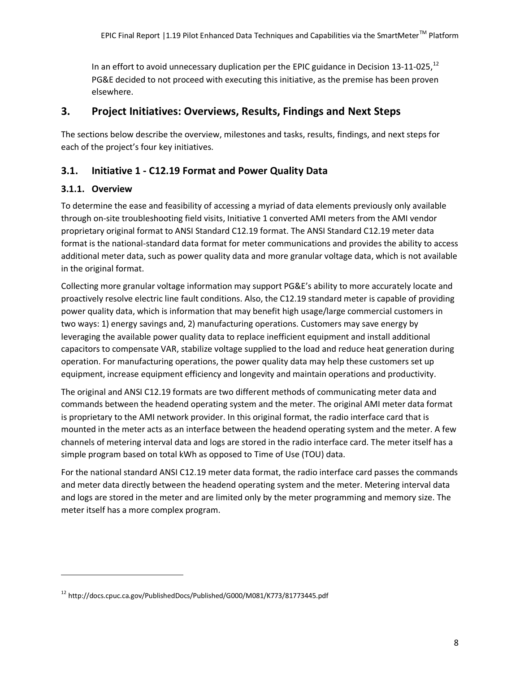In an effort to avoid unnecessary duplication per the EPIC guidance in Decision 13-11-025,  $^{12}$ PG&E decided to not proceed with executing this initiative, as the premise has been proven elsewhere.

## **3. Project Initiatives: Overviews, Results, Findings and Next Steps**

The sections below describe the overview, milestones and tasks, results, findings, and next steps for each of the project's four key initiatives.

## **3.1. Initiative 1 - C12.19 Format and Power Quality Data**

## **3.1.1. Overview**

 $\overline{a}$ 

To determine the ease and feasibility of accessing a myriad of data elements previously only available through on-site troubleshooting field visits, Initiative 1 converted AMI meters from the AMI vendor proprietary original format to ANSI Standard C12.19 format. The ANSI Standard C12.19 meter data format is the national-standard data format for meter communications and provides the ability to access additional meter data, such as power quality data and more granular voltage data, which is not available in the original format.

Collecting more granular voltage information may support PG&E's ability to more accurately locate and proactively resolve electric line fault conditions. Also, the C12.19 standard meter is capable of providing power quality data, which is information that may benefit high usage/large commercial customers in two ways: 1) energy savings and, 2) manufacturing operations. Customers may save energy by leveraging the available power quality data to replace inefficient equipment and install additional capacitors to compensate VAR, stabilize voltage supplied to the load and reduce heat generation during operation. For manufacturing operations, the power quality data may help these customers set up equipment, increase equipment efficiency and longevity and maintain operations and productivity.

The original and ANSI C12.19 formats are two different methods of communicating meter data and commands between the headend operating system and the meter. The original AMI meter data format is proprietary to the AMI network provider. In this original format, the radio interface card that is mounted in the meter acts as an interface between the headend operating system and the meter. A few channels of metering interval data and logs are stored in the radio interface card. The meter itself has a simple program based on total kWh as opposed to Time of Use (TOU) data.

For the national standard ANSI C12.19 meter data format, the radio interface card passes the commands and meter data directly between the headend operating system and the meter. Metering interval data and logs are stored in the meter and are limited only by the meter programming and memory size. The meter itself has a more complex program.

<sup>12</sup> http://docs.cpuc.ca.gov/PublishedDocs/Published/G000/M081/K773/81773445.pdf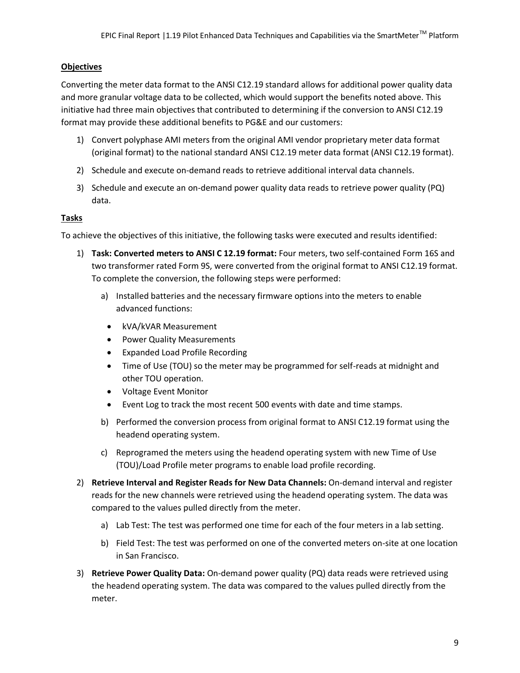#### **Objectives**

Converting the meter data format to the ANSI C12.19 standard allows for additional power quality data and more granular voltage data to be collected, which would support the benefits noted above. This initiative had three main objectives that contributed to determining if the conversion to ANSI C12.19 format may provide these additional benefits to PG&E and our customers:

- 1) Convert polyphase AMI meters from the original AMI vendor proprietary meter data format (original format) to the national standard ANSI C12.19 meter data format (ANSI C12.19 format).
- 2) Schedule and execute on-demand reads to retrieve additional interval data channels.
- 3) Schedule and execute an on-demand power quality data reads to retrieve power quality (PQ) data.

### **Tasks**

To achieve the objectives of this initiative, the following tasks were executed and results identified:

- 1) **Task: Converted meters to ANSI C 12.19 format:** Four meters, two self-contained Form 16S and two transformer rated Form 9S, were converted from the original format to ANSI C12.19 format. To complete the conversion, the following steps were performed:
	- a) Installed batteries and the necessary firmware options into the meters to enable advanced functions:
		- kVA/kVAR Measurement
		- Power Quality Measurements
		- Expanded Load Profile Recording
		- Time of Use (TOU) so the meter may be programmed for self-reads at midnight and other TOU operation.
		- Voltage Event Monitor
		- Event Log to track the most recent 500 events with date and time stamps.
	- b) Performed the conversion process from original format to ANSI C12.19 format using the headend operating system.
	- c) Reprogramed the meters using the headend operating system with new Time of Use (TOU)/Load Profile meter programs to enable load profile recording.
- 2) **Retrieve Interval and Register Reads for New Data Channels:** On-demand interval and register reads for the new channels were retrieved using the headend operating system. The data was compared to the values pulled directly from the meter.
	- a) Lab Test: The test was performed one time for each of the four meters in a lab setting.
	- b) Field Test: The test was performed on one of the converted meters on-site at one location in San Francisco.
- 3) **Retrieve Power Quality Data:** On-demand power quality (PQ) data reads were retrieved using the headend operating system. The data was compared to the values pulled directly from the meter.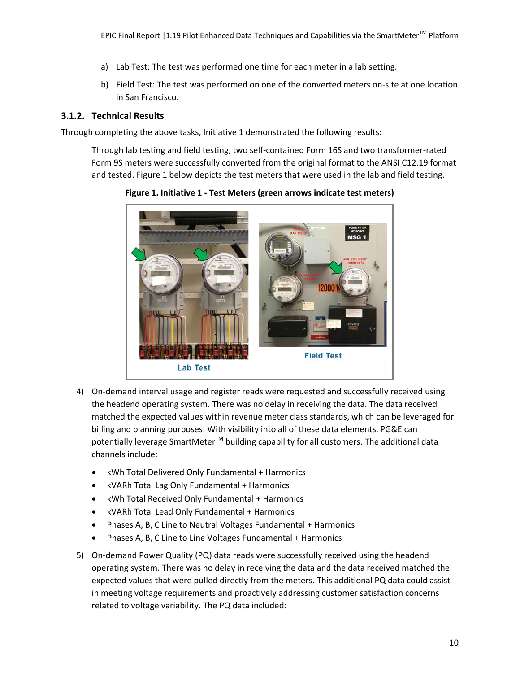- a) Lab Test: The test was performed one time for each meter in a lab setting.
- b) Field Test: The test was performed on one of the converted meters on-site at one location in San Francisco.

### **3.1.2. Technical Results**

Through completing the above tasks, Initiative 1 demonstrated the following results:

Through lab testing and field testing, two self-contained Form 16S and two transformer-rated Form 9S meters were successfully converted from the original format to the ANSI C12.19 format and tested. Figure 1 below depicts the test meters that were used in the lab and field testing.



**Figure 1. Initiative 1 - Test Meters (green arrows indicate test meters)**

- 4) On-demand interval usage and register reads were requested and successfully received using the headend operating system. There was no delay in receiving the data. The data received matched the expected values within revenue meter class standards, which can be leveraged for billing and planning purposes. With visibility into all of these data elements, PG&E can potentially leverage SmartMeter<sup>TM</sup> building capability for all customers. The additional data channels include:
	- kWh Total Delivered Only Fundamental + Harmonics
	- kVARh Total Lag Only Fundamental + Harmonics
	- kWh Total Received Only Fundamental + Harmonics
	- kVARh Total Lead Only Fundamental + Harmonics
	- Phases A, B, C Line to Neutral Voltages Fundamental + Harmonics
	- Phases A, B, C Line to Line Voltages Fundamental + Harmonics
- 5) On-demand Power Quality (PQ) data reads were successfully received using the headend operating system. There was no delay in receiving the data and the data received matched the expected values that were pulled directly from the meters. This additional PQ data could assist in meeting voltage requirements and proactively addressing customer satisfaction concerns related to voltage variability. The PQ data included: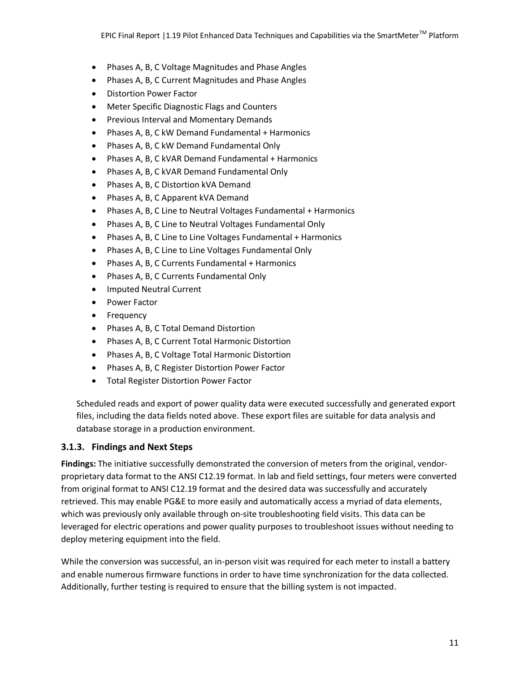- Phases A, B, C Voltage Magnitudes and Phase Angles
- Phases A, B, C Current Magnitudes and Phase Angles
- Distortion Power Factor
- Meter Specific Diagnostic Flags and Counters
- **•** Previous Interval and Momentary Demands
- Phases A, B, C kW Demand Fundamental + Harmonics
- Phases A, B, C kW Demand Fundamental Only
- Phases A, B, C kVAR Demand Fundamental + Harmonics
- Phases A, B, C kVAR Demand Fundamental Only
- Phases A, B, C Distortion kVA Demand
- Phases A, B, C Apparent kVA Demand
- Phases A, B, C Line to Neutral Voltages Fundamental + Harmonics
- Phases A, B, C Line to Neutral Voltages Fundamental Only
- Phases A, B, C Line to Line Voltages Fundamental + Harmonics
- Phases A, B, C Line to Line Voltages Fundamental Only
- Phases A, B, C Currents Fundamental + Harmonics
- Phases A, B, C Currents Fundamental Only
- **•** Imputed Neutral Current
- Power Factor
- Frequency
- Phases A, B, C Total Demand Distortion
- Phases A, B, C Current Total Harmonic Distortion
- Phases A, B, C Voltage Total Harmonic Distortion
- Phases A, B, C Register Distortion Power Factor
- Total Register Distortion Power Factor

Scheduled reads and export of power quality data were executed successfully and generated export files, including the data fields noted above. These export files are suitable for data analysis and database storage in a production environment.

## **3.1.3. Findings and Next Steps**

**Findings:** The initiative successfully demonstrated the conversion of meters from the original, vendorproprietary data format to the ANSI C12.19 format. In lab and field settings, four meters were converted from original format to ANSI C12.19 format and the desired data was successfully and accurately retrieved. This may enable PG&E to more easily and automatically access a myriad of data elements, which was previously only available through on-site troubleshooting field visits. This data can be leveraged for electric operations and power quality purposes to troubleshoot issues without needing to deploy metering equipment into the field.

While the conversion was successful, an in-person visit was required for each meter to install a battery and enable numerous firmware functions in order to have time synchronization for the data collected. Additionally, further testing is required to ensure that the billing system is not impacted.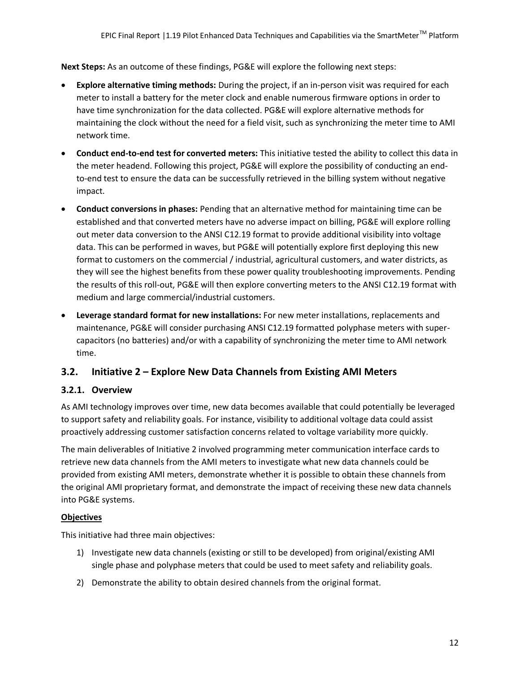**Next Steps:** As an outcome of these findings, PG&E will explore the following next steps:

- **Explore alternative timing methods:** During the project, if an in-person visit was required for each meter to install a battery for the meter clock and enable numerous firmware options in order to have time synchronization for the data collected. PG&E will explore alternative methods for maintaining the clock without the need for a field visit, such as synchronizing the meter time to AMI network time.
- **Conduct end-to-end test for converted meters:** This initiative tested the ability to collect this data in the meter headend. Following this project, PG&E will explore the possibility of conducting an endto-end test to ensure the data can be successfully retrieved in the billing system without negative impact.
- **Conduct conversions in phases:** Pending that an alternative method for maintaining time can be established and that converted meters have no adverse impact on billing, PG&E will explore rolling out meter data conversion to the ANSI C12.19 format to provide additional visibility into voltage data. This can be performed in waves, but PG&E will potentially explore first deploying this new format to customers on the commercial / industrial, agricultural customers, and water districts, as they will see the highest benefits from these power quality troubleshooting improvements. Pending the results of this roll-out, PG&E will then explore converting meters to the ANSI C12.19 format with medium and large commercial/industrial customers.
- **Leverage standard format for new installations:** For new meter installations, replacements and maintenance, PG&E will consider purchasing ANSI C12.19 formatted polyphase meters with supercapacitors (no batteries) and/or with a capability of synchronizing the meter time to AMI network time.

## **3.2. Initiative 2 – Explore New Data Channels from Existing AMI Meters**

## **3.2.1. Overview**

As AMI technology improves over time, new data becomes available that could potentially be leveraged to support safety and reliability goals. For instance, visibility to additional voltage data could assist proactively addressing customer satisfaction concerns related to voltage variability more quickly.

The main deliverables of Initiative 2 involved programming meter communication interface cards to retrieve new data channels from the AMI meters to investigate what new data channels could be provided from existing AMI meters, demonstrate whether it is possible to obtain these channels from the original AMI proprietary format, and demonstrate the impact of receiving these new data channels into PG&E systems.

#### **Objectives**

This initiative had three main objectives:

- 1) Investigate new data channels (existing or still to be developed) from original/existing AMI single phase and polyphase meters that could be used to meet safety and reliability goals.
- 2) Demonstrate the ability to obtain desired channels from the original format.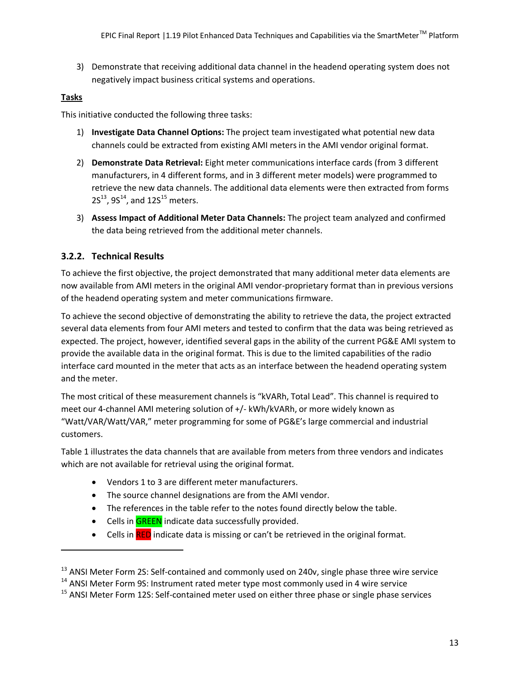3) Demonstrate that receiving additional data channel in the headend operating system does not negatively impact business critical systems and operations.

#### **Tasks**

 $\overline{a}$ 

This initiative conducted the following three tasks:

- 1) **Investigate Data Channel Options:** The project team investigated what potential new data channels could be extracted from existing AMI meters in the AMI vendor original format.
- 2) **Demonstrate Data Retrieval:** Eight meter communications interface cards (from 3 different manufacturers, in 4 different forms, and in 3 different meter models) were programmed to retrieve the new data channels. The additional data elements were then extracted from forms  $2S^{13}$ , 9S<sup>14</sup>, and 12S<sup>15</sup> meters.
- 3) **Assess Impact of Additional Meter Data Channels:** The project team analyzed and confirmed the data being retrieved from the additional meter channels.

### **3.2.2. Technical Results**

To achieve the first objective, the project demonstrated that many additional meter data elements are now available from AMI meters in the original AMI vendor-proprietary format than in previous versions of the headend operating system and meter communications firmware.

To achieve the second objective of demonstrating the ability to retrieve the data, the project extracted several data elements from four AMI meters and tested to confirm that the data was being retrieved as expected. The project, however, identified several gaps in the ability of the current PG&E AMI system to provide the available data in the original format. This is due to the limited capabilities of the radio interface card mounted in the meter that acts as an interface between the headend operating system and the meter.

The most critical of these measurement channels is "kVARh, Total Lead". This channel is required to meet our 4-channel AMI metering solution of +/- kWh/kVARh, or more widely known as "Watt/VAR/Watt/VAR," meter programming for some of PG&E's large commercial and industrial customers.

Table 1 illustrates the data channels that are available from meters from three vendors and indicates which are not available for retrieval using the original format.

- Vendors 1 to 3 are different meter manufacturers.
- The source channel designations are from the AMI vendor.
- The references in the table refer to the notes found directly below the table.
- Cells in **GREEN** indicate data successfully provided.
- Cells in **RED** indicate data is missing or can't be retrieved in the original format.

 $13$  ANSI Meter Form 2S: Self-contained and commonly used on 240v, single phase three wire service

<sup>&</sup>lt;sup>14</sup> ANSI Meter Form 9S: Instrument rated meter type most commonly used in 4 wire service

<sup>&</sup>lt;sup>15</sup> ANSI Meter Form 12S: Self-contained meter used on either three phase or single phase services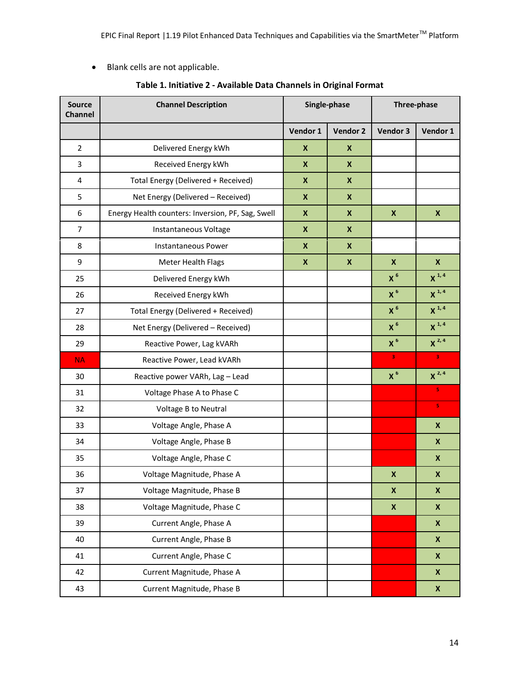Blank cells are not applicable.

| <b>Source</b><br><b>Channel</b> | <b>Channel Description</b>                        |                           | Single-phase       | Three-phase      |            |
|---------------------------------|---------------------------------------------------|---------------------------|--------------------|------------------|------------|
|                                 |                                                   | Vendor 1                  | Vendor 2           | Vendor 3         | Vendor 1   |
| $\overline{2}$                  | Delivered Energy kWh                              | X                         | X                  |                  |            |
| 3                               | Received Energy kWh                               | $\boldsymbol{X}$          | $\mathsf{x}$       |                  |            |
| $\overline{4}$                  | Total Energy (Delivered + Received)               | $\boldsymbol{X}$          | $\mathbf{x}$       |                  |            |
| 5                               | Net Energy (Delivered - Received)                 | $\boldsymbol{X}$          | $\pmb{\mathsf{x}}$ |                  |            |
| 6                               | Energy Health counters: Inversion, PF, Sag, Swell | $\boldsymbol{\mathsf{X}}$ | X                  | $\boldsymbol{x}$ | X          |
| $\overline{7}$                  | Instantaneous Voltage                             | $\boldsymbol{X}$          | $\boldsymbol{x}$   |                  |            |
| 8                               | <b>Instantaneous Power</b>                        | $\boldsymbol{X}$          | $\mathbf{x}$       |                  |            |
| 9                               | Meter Health Flags                                | $\boldsymbol{X}$          | $\mathbf{x}$       | X                | X          |
| 25                              | Delivered Energy kWh                              |                           |                    | X <sup>6</sup>   | $X^{1,4}$  |
| 26                              | Received Energy kWh                               |                           |                    | $X^6$            | $X^{1,4}$  |
| 27                              | Total Energy (Delivered + Received)               |                           |                    | X <sup>6</sup>   | $X^{1, 4}$ |
| 28                              | Net Energy (Delivered - Received)                 |                           |                    | X <sup>6</sup>   | $X^{1, 4}$ |
| 29                              | Reactive Power, Lag kVARh                         |                           |                    | $X^6$            | $X^{2,4}$  |
| <b>NA</b>                       | Reactive Power, Lead kVARh                        |                           |                    | з                | 3          |
| 30                              | Reactive power VARh, Lag - Lead                   |                           |                    | X <sup>6</sup>   | $X^{2,4}$  |
| 31                              | Voltage Phase A to Phase C                        |                           |                    |                  | 5          |
| 32                              | Voltage B to Neutral                              |                           |                    |                  | 5          |
| 33                              | Voltage Angle, Phase A                            |                           |                    |                  | X          |
| 34                              | Voltage Angle, Phase B                            |                           |                    |                  | X          |
| 35                              | Voltage Angle, Phase C                            |                           |                    |                  | X          |
| 36                              | Voltage Magnitude, Phase A                        |                           |                    | X                | X          |
| 37                              | Voltage Magnitude, Phase B                        |                           |                    | X                | X          |
| 38                              | Voltage Magnitude, Phase C                        |                           |                    | X                | X          |
| 39                              | Current Angle, Phase A                            |                           |                    |                  | X          |
| 40                              | Current Angle, Phase B                            |                           |                    |                  | X          |
| 41                              | Current Angle, Phase C                            |                           |                    |                  | X          |
| 42                              | Current Magnitude, Phase A                        |                           |                    |                  | X          |
| 43                              | Current Magnitude, Phase B                        |                           |                    |                  | X          |

### **Table 1. Initiative 2 - Available Data Channels in Original Format**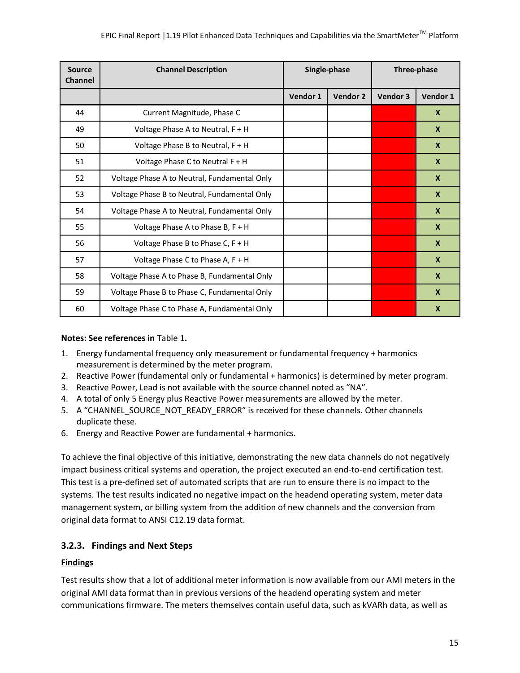| <b>Source</b><br><b>Channel</b> | <b>Channel Description</b>                   |          | Single-phase | Three-phase |                           |  |
|---------------------------------|----------------------------------------------|----------|--------------|-------------|---------------------------|--|
|                                 |                                              | Vendor 1 | Vendor 2     | Vendor 3    | Vendor 1                  |  |
| 44                              | Current Magnitude, Phase C                   |          |              |             | $\mathbf{x}$              |  |
| 49                              | Voltage Phase A to Neutral, F + H            |          |              |             | $\mathbf{x}$              |  |
| 50                              | Voltage Phase B to Neutral, F + H            |          |              |             | $\boldsymbol{X}$          |  |
| 51                              | Voltage Phase C to Neutral F + H             |          |              |             | X                         |  |
| 52                              | Voltage Phase A to Neutral, Fundamental Only |          |              |             | $\boldsymbol{X}$          |  |
| 53                              | Voltage Phase B to Neutral, Fundamental Only |          |              |             | $\boldsymbol{X}$          |  |
| 54                              | Voltage Phase A to Neutral, Fundamental Only |          |              |             | $\mathbf{x}$              |  |
| 55                              | Voltage Phase A to Phase B, $F + H$          |          |              |             | $\boldsymbol{X}$          |  |
| 56                              | Voltage Phase B to Phase C, $F + H$          |          |              |             | $\mathbf{x}$              |  |
| 57                              | Voltage Phase C to Phase A, F + H            |          |              |             | $\mathbf{x}$              |  |
| 58                              | Voltage Phase A to Phase B, Fundamental Only |          |              |             | $\boldsymbol{X}$          |  |
| 59                              | Voltage Phase B to Phase C, Fundamental Only |          |              |             | X                         |  |
| 60                              | Voltage Phase C to Phase A, Fundamental Only |          |              |             | $\boldsymbol{\mathsf{x}}$ |  |

#### **Notes: See references in** Table 1**.**

- 1. Energy fundamental frequency only measurement or fundamental frequency + harmonics measurement is determined by the meter program.
- 2. Reactive Power (fundamental only or fundamental + harmonics) is determined by meter program.
- 3. Reactive Power, Lead is not available with the source channel noted as "NA".
- 4. A total of only 5 Energy plus Reactive Power measurements are allowed by the meter.
- 5. A "CHANNEL\_SOURCE\_NOT\_READY\_ERROR" is received for these channels. Other channels duplicate these.
- 6. Energy and Reactive Power are fundamental + harmonics.

To achieve the final objective of this initiative, demonstrating the new data channels do not negatively impact business critical systems and operation, the project executed an end-to-end certification test. This test is a pre-defined set of automated scripts that are run to ensure there is no impact to the systems. The test results indicated no negative impact on the headend operating system, meter data management system, or billing system from the addition of new channels and the conversion from original data format to ANSI C12.19 data format.

## **3.2.3. Findings and Next Steps**

#### **Findings**

Test results show that a lot of additional meter information is now available from our AMI meters in the original AMI data format than in previous versions of the headend operating system and meter communications firmware. The meters themselves contain useful data, such as kVARh data, as well as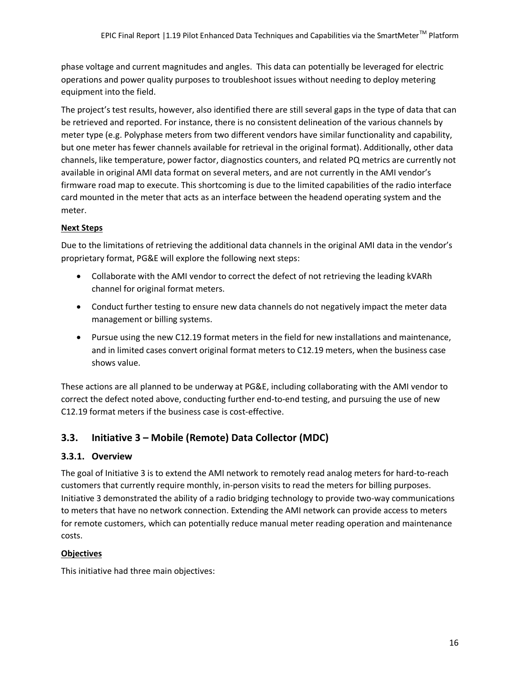phase voltage and current magnitudes and angles. This data can potentially be leveraged for electric operations and power quality purposes to troubleshoot issues without needing to deploy metering equipment into the field.

The project's test results, however, also identified there are still several gaps in the type of data that can be retrieved and reported. For instance, there is no consistent delineation of the various channels by meter type (e.g. Polyphase meters from two different vendors have similar functionality and capability, but one meter has fewer channels available for retrieval in the original format). Additionally, other data channels, like temperature, power factor, diagnostics counters, and related PQ metrics are currently not available in original AMI data format on several meters, and are not currently in the AMI vendor's firmware road map to execute. This shortcoming is due to the limited capabilities of the radio interface card mounted in the meter that acts as an interface between the headend operating system and the meter.

### **Next Steps**

Due to the limitations of retrieving the additional data channels in the original AMI data in the vendor's proprietary format, PG&E will explore the following next steps:

- Collaborate with the AMI vendor to correct the defect of not retrieving the leading kVARh channel for original format meters.
- Conduct further testing to ensure new data channels do not negatively impact the meter data management or billing systems.
- Pursue using the new C12.19 format meters in the field for new installations and maintenance, and in limited cases convert original format meters to C12.19 meters, when the business case shows value.

These actions are all planned to be underway at PG&E, including collaborating with the AMI vendor to correct the defect noted above, conducting further end-to-end testing, and pursuing the use of new C12.19 format meters if the business case is cost-effective.

## **3.3. Initiative 3 – Mobile (Remote) Data Collector (MDC)**

## **3.3.1. Overview**

The goal of Initiative 3 is to extend the AMI network to remotely read analog meters for hard-to-reach customers that currently require monthly, in-person visits to read the meters for billing purposes. Initiative 3 demonstrated the ability of a radio bridging technology to provide two-way communications to meters that have no network connection. Extending the AMI network can provide access to meters for remote customers, which can potentially reduce manual meter reading operation and maintenance costs.

## **Objectives**

This initiative had three main objectives: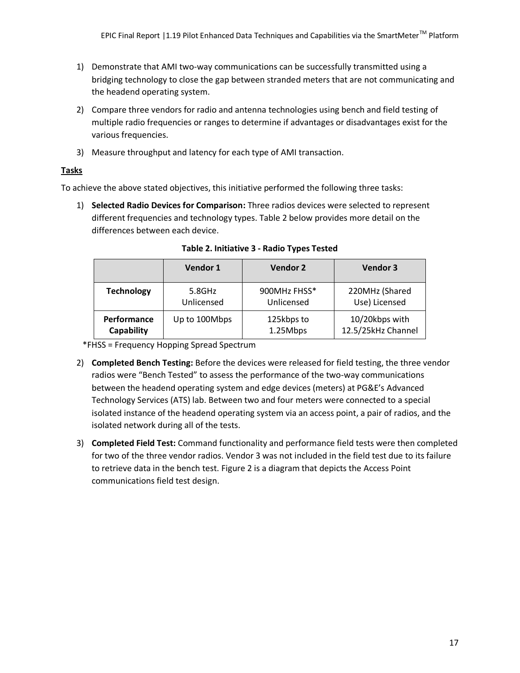- 1) Demonstrate that AMI two-way communications can be successfully transmitted using a bridging technology to close the gap between stranded meters that are not communicating and the headend operating system.
- 2) Compare three vendors for radio and antenna technologies using bench and field testing of multiple radio frequencies or ranges to determine if advantages or disadvantages exist for the various frequencies.
- 3) Measure throughput and latency for each type of AMI transaction.

### **Tasks**

To achieve the above stated objectives, this initiative performed the following three tasks:

1) **Selected Radio Devices for Comparison:** Three radios devices were selected to represent different frequencies and technology types. Table 2 below provides more detail on the differences between each device.

|                   | Vendor 1      | <b>Vendor 2</b> | Vendor 3           |
|-------------------|---------------|-----------------|--------------------|
| <b>Technology</b> | 5.8GHz        | 900MHz FHSS*    | 220MHz (Shared     |
|                   | Unlicensed    | Unlicensed      | Use) Licensed      |
| Performance       | Up to 100Mbps | 125kbps to      | 10/20kbps with     |
| Capability        |               | 1.25Mbps        | 12.5/25kHz Channel |

**Table 2. Initiative 3 - Radio Types Tested**

\*FHSS = Frequency Hopping Spread Spectrum

- 2) **Completed Bench Testing:** Before the devices were released for field testing, the three vendor radios were "Bench Tested" to assess the performance of the two-way communications between the headend operating system and edge devices (meters) at PG&E's Advanced Technology Services (ATS) lab. Between two and four meters were connected to a special isolated instance of the headend operating system via an access point, a pair of radios, and the isolated network during all of the tests.
- 3) **Completed Field Test:** Command functionality and performance field tests were then completed for two of the three vendor radios. Vendor 3 was not included in the field test due to its failure to retrieve data in the bench test. Figure 2 is a diagram that depicts the Access Point communications field test design.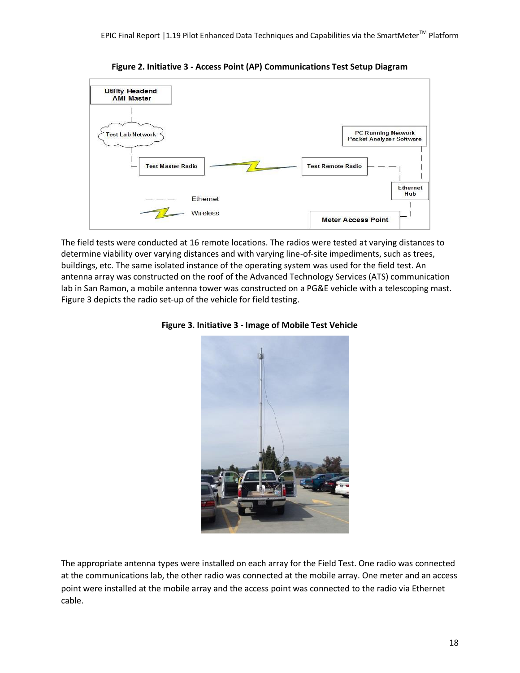

**Figure 2. Initiative 3 - Access Point (AP) Communications Test Setup Diagram** 

The field tests were conducted at 16 remote locations. The radios were tested at varying distances to determine viability over varying distances and with varying line-of-site impediments, such as trees, buildings, etc. The same isolated instance of the operating system was used for the field test. An antenna array was constructed on the roof of the Advanced Technology Services (ATS) communication lab in San Ramon, a mobile antenna tower was constructed on a PG&E vehicle with a telescoping mast. Figure 3 depicts the radio set-up of the vehicle for field testing.





The appropriate antenna types were installed on each array for the Field Test. One radio was connected at the communications lab, the other radio was connected at the mobile array. One meter and an access point were installed at the mobile array and the access point was connected to the radio via Ethernet cable.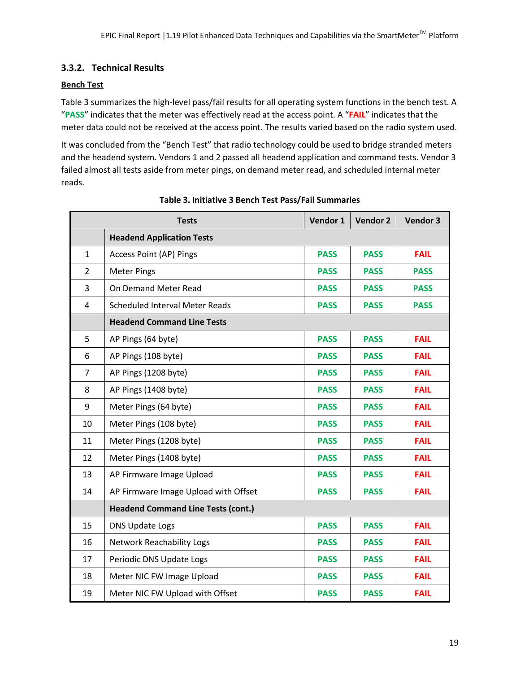## **3.3.2. Technical Results**

#### **Bench Test**

Table 3 summarizes the high-level pass/fail results for all operating system functions in the bench test. A "**PASS**" indicates that the meter was effectively read at the access point. A "**FAIL**" indicates that the meter data could not be received at the access point. The results varied based on the radio system used.

It was concluded from the "Bench Test" that radio technology could be used to bridge stranded meters and the headend system. Vendors 1 and 2 passed all headend application and command tests. Vendor 3 failed almost all tests aside from meter pings, on demand meter read, and scheduled internal meter reads.

|                | <b>Tests</b>                              | Vendor 1    | Vendor 2    | Vendor 3    |
|----------------|-------------------------------------------|-------------|-------------|-------------|
|                | <b>Headend Application Tests</b>          |             |             |             |
| $\mathbf{1}$   | Access Point (AP) Pings                   | <b>PASS</b> | <b>PASS</b> | <b>FAIL</b> |
| $\overline{2}$ | <b>Meter Pings</b>                        | <b>PASS</b> | <b>PASS</b> | <b>PASS</b> |
| 3              | On Demand Meter Read                      | <b>PASS</b> | <b>PASS</b> | <b>PASS</b> |
| 4              | <b>Scheduled Interval Meter Reads</b>     | <b>PASS</b> | <b>PASS</b> | <b>PASS</b> |
|                | <b>Headend Command Line Tests</b>         |             |             |             |
| 5              | AP Pings (64 byte)                        | <b>PASS</b> | <b>PASS</b> | <b>FAIL</b> |
| 6              | AP Pings (108 byte)                       | <b>PASS</b> | <b>PASS</b> | <b>FAIL</b> |
| $\overline{7}$ | AP Pings (1208 byte)                      | <b>PASS</b> | <b>PASS</b> | <b>FAIL</b> |
| 8              | AP Pings (1408 byte)                      | <b>PASS</b> | <b>PASS</b> | <b>FAIL</b> |
| 9              | Meter Pings (64 byte)                     | <b>PASS</b> | <b>PASS</b> | <b>FAIL</b> |
| 10             | Meter Pings (108 byte)                    | <b>PASS</b> | <b>PASS</b> | <b>FAIL</b> |
| 11             | Meter Pings (1208 byte)                   | <b>PASS</b> | <b>PASS</b> | <b>FAIL</b> |
| 12             | Meter Pings (1408 byte)                   | <b>PASS</b> | <b>PASS</b> | <b>FAIL</b> |
| 13             | AP Firmware Image Upload                  | <b>PASS</b> | <b>PASS</b> | <b>FAIL</b> |
| 14             | AP Firmware Image Upload with Offset      | <b>PASS</b> | <b>PASS</b> | <b>FAIL</b> |
|                | <b>Headend Command Line Tests (cont.)</b> |             |             |             |
| 15             | <b>DNS Update Logs</b>                    | <b>PASS</b> | <b>PASS</b> | <b>FAIL</b> |
| 16             | <b>Network Reachability Logs</b>          | <b>PASS</b> | <b>PASS</b> | <b>FAIL</b> |
| 17             | Periodic DNS Update Logs                  | <b>PASS</b> | <b>PASS</b> | <b>FAIL</b> |
| 18             | Meter NIC FW Image Upload                 | <b>PASS</b> | <b>PASS</b> | <b>FAIL</b> |
| 19             | Meter NIC FW Upload with Offset           | <b>PASS</b> | <b>PASS</b> | <b>FAIL</b> |

#### **Table 3. Initiative 3 Bench Test Pass/Fail Summaries**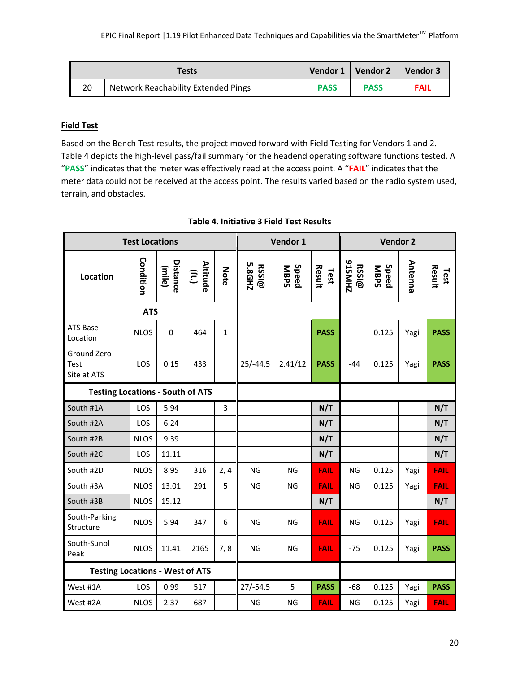|    | Tests                                      |             | Vendor 1   Vendor 2 | Vendor 3    |
|----|--------------------------------------------|-------------|---------------------|-------------|
| 20 | <b>Network Reachability Extended Pings</b> | <b>PASS</b> | <b>PASS</b>         | <b>FAIL</b> |

#### **Field Test**

Based on the Bench Test results, the project moved forward with Field Testing for Vendors 1 and 2. Table 4 depicts the high-level pass/fail summary for the headend operating software functions tested. A "**PASS**" indicates that the meter was effectively read at the access point. A "**FAIL**" indicates that the meter data could not be received at the access point. The results varied based on the radio system used, terrain, and obstacles.

| <b>Test Locations</b>                   |             |                    |                            |              | Vendor 1               |                      |                | Vendor 2               |                      |         |                |
|-----------------------------------------|-------------|--------------------|----------------------------|--------------|------------------------|----------------------|----------------|------------------------|----------------------|---------|----------------|
| Location                                | Condition   | Distance<br>(mile) | Altitude<br>$(\text{ft.})$ | Note         | <b>RSSI@</b><br>5.8GHZ | <b>Speed</b><br>MBPS | Result<br>Test | <b>S15MHZ</b><br>RSSI@ | Speed<br><b>MBPS</b> | Antenna | Result<br>Test |
|                                         | <b>ATS</b>  |                    |                            |              |                        |                      |                |                        |                      |         |                |
| <b>ATS Base</b><br>Location             | <b>NLOS</b> | $\mathbf 0$        | 464                        | $\mathbf{1}$ |                        |                      | <b>PASS</b>    |                        | 0.125                | Yagi    | <b>PASS</b>    |
| Ground Zero<br>Test<br>Site at ATS      | LOS         | 0.15               | 433                        |              | $25/-44.5$             | 2.41/12              | <b>PASS</b>    | $-44$                  | 0.125                | Yagi    | <b>PASS</b>    |
| <b>Testing Locations - South of ATS</b> |             |                    |                            |              |                        |                      |                |                        |                      |         |                |
| South #1A                               | LOS         | 5.94               |                            | 3            |                        |                      | N/T            |                        |                      |         | N/T            |
| South #2A                               | LOS         | 6.24               |                            |              |                        |                      | N/T            |                        |                      |         | N/T            |
| South #2B                               | <b>NLOS</b> | 9.39               |                            |              |                        |                      | N/T            |                        |                      |         | N/T            |
| South #2C                               | LOS         | 11.11              |                            |              |                        |                      | N/T            |                        |                      |         | N/T            |
| South #2D                               | <b>NLOS</b> | 8.95               | 316                        | 2, 4         | <b>NG</b>              | <b>NG</b>            | <b>FAIL</b>    | <b>NG</b>              | 0.125                | Yagi    | <b>FAIL</b>    |
| South #3A                               | <b>NLOS</b> | 13.01              | 291                        | 5            | <b>NG</b>              | <b>NG</b>            | <b>FAIL</b>    | <b>NG</b>              | 0.125                | Yagi    | <b>FAIL</b>    |
| South #3B                               | <b>NLOS</b> | 15.12              |                            |              |                        |                      | N/T            |                        |                      |         | N/T            |
| South-Parking<br>Structure              | <b>NLOS</b> | 5.94               | 347                        | 6            | <b>NG</b>              | <b>NG</b>            | <b>FAIL</b>    | <b>NG</b>              | 0.125                | Yagi    | <b>FAIL</b>    |
| South-Sunol<br>Peak                     | <b>NLOS</b> | 11.41              | 2165                       | 7,8          | <b>NG</b>              | <b>NG</b>            | <b>FAIL</b>    | $-75$                  | 0.125                | Yagi    | <b>PASS</b>    |
| <b>Testing Locations - West of ATS</b>  |             |                    |                            |              |                        |                      |                |                        |                      |         |                |
| West #1A                                | LOS         | 0.99               | 517                        |              | $27/-54.5$             | 5                    | <b>PASS</b>    | $-68$                  | 0.125                | Yagi    | <b>PASS</b>    |
| West #2A                                | <b>NLOS</b> | 2.37               | 687                        |              | NG                     | NG                   | <b>FAIL</b>    | NG                     | 0.125                | Yagi    | <b>FAIL</b>    |

### **Table 4. Initiative 3 Field Test Results**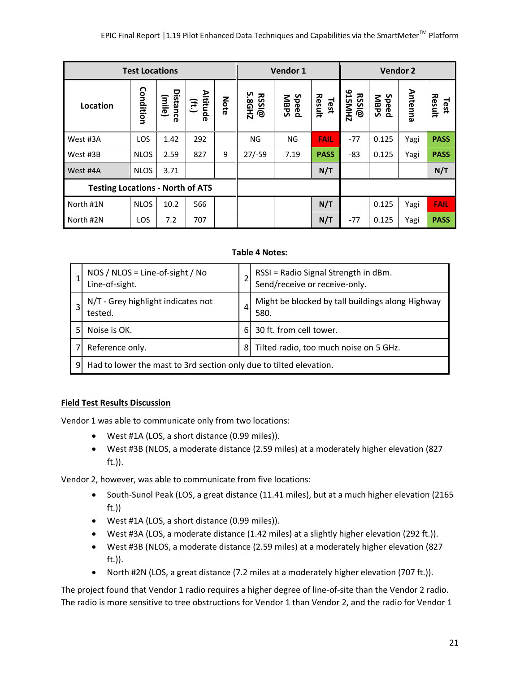| <b>Test Locations</b>                   |             |                    |                                      | Vendor 1 |                 |                      | <b>Vendor 2</b> |                        |                      |         |                |
|-----------------------------------------|-------------|--------------------|--------------------------------------|----------|-----------------|----------------------|-----------------|------------------------|----------------------|---------|----------------|
| Location                                | Condition   | Distance<br>(mile) | <b>Altitud</b><br>$(\ddot{t}t)$<br>൹ | Note     | 5.8GHZ<br>RSSI@ | Speed<br><b>MBPS</b> | Result<br>Test  | <b>S15MHZ</b><br>RSSI@ | Speed<br><b>MBPS</b> | Antenna | Result<br>Test |
| West #3A                                | LOS         | 1.42               | 292                                  |          | <b>NG</b>       | NG                   | <b>FAIL</b>     | $-77$                  | 0.125                | Yagi    | <b>PASS</b>    |
| West #3B                                | <b>NLOS</b> | 2.59               | 827                                  | 9        | $27/-59$        | 7.19                 | <b>PASS</b>     | $-83$                  | 0.125                | Yagi    | <b>PASS</b>    |
| West #4A                                | <b>NLOS</b> | 3.71               |                                      |          |                 |                      | N/T             |                        |                      |         | N/T            |
| <b>Testing Locations - North of ATS</b> |             |                    |                                      |          |                 |                      |                 |                        |                      |         |                |
| North #1N                               | <b>NLOS</b> | 10.2               | 566                                  |          |                 |                      | N/T             |                        | 0.125                | Yagi    | <b>FAIL</b>    |
| North #2N                               | LOS         | 7.2                | 707                                  |          |                 |                      | N/T             | $-77$                  | 0.125                | Yagi    | <b>PASS</b>    |

#### **Table 4 Notes:**

|   | NOS / NLOS = Line-of-sight / No<br>Line-of-sight.                  |    | RSSI = Radio Signal Strength in dBm.<br>Send/receive or receive-only. |  |  |
|---|--------------------------------------------------------------------|----|-----------------------------------------------------------------------|--|--|
|   | N/T - Grey highlight indicates not<br>tested.                      |    | Might be blocked by tall buildings along Highway<br>580.              |  |  |
|   | Noise is OK.                                                       | 6I | 30 ft. from cell tower.                                               |  |  |
|   | Reference only.                                                    | 81 | Tilted radio, too much noise on 5 GHz.                                |  |  |
| 9 | Had to lower the mast to 3rd section only due to tilted elevation. |    |                                                                       |  |  |

#### **Field Test Results Discussion**

Vendor 1 was able to communicate only from two locations:

- West #1A (LOS, a short distance (0.99 miles)).
- West #3B (NLOS, a moderate distance (2.59 miles) at a moderately higher elevation (827 ft.)).

Vendor 2, however, was able to communicate from five locations:

- South-Sunol Peak (LOS, a great distance (11.41 miles), but at a much higher elevation (2165 ft.))
- West #1A (LOS, a short distance (0.99 miles)).
- West #3A (LOS, a moderate distance (1.42 miles) at a slightly higher elevation (292 ft.)).
- West #3B (NLOS, a moderate distance (2.59 miles) at a moderately higher elevation (827 ft.)).
- North #2N (LOS, a great distance (7.2 miles at a moderately higher elevation (707 ft.)).

The project found that Vendor 1 radio requires a higher degree of line-of-site than the Vendor 2 radio. The radio is more sensitive to tree obstructions for Vendor 1 than Vendor 2, and the radio for Vendor 1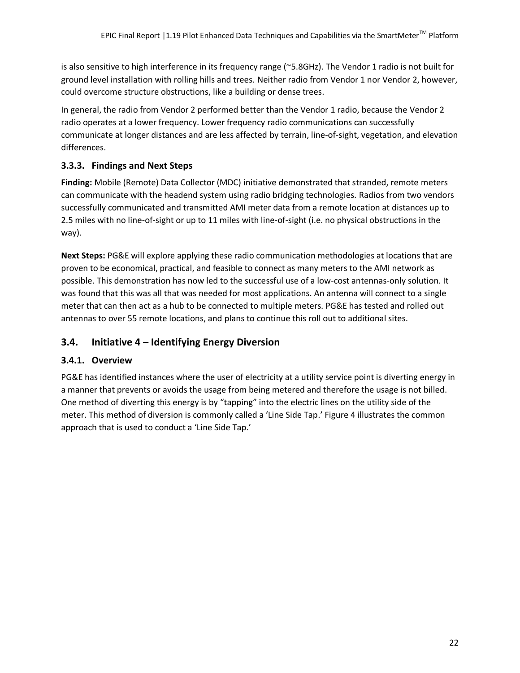is also sensitive to high interference in its frequency range (~5.8GHz). The Vendor 1 radio is not built for ground level installation with rolling hills and trees. Neither radio from Vendor 1 nor Vendor 2, however, could overcome structure obstructions, like a building or dense trees.

In general, the radio from Vendor 2 performed better than the Vendor 1 radio, because the Vendor 2 radio operates at a lower frequency. Lower frequency radio communications can successfully communicate at longer distances and are less affected by terrain, line-of-sight, vegetation, and elevation differences.

## **3.3.3. Findings and Next Steps**

**Finding:** Mobile (Remote) Data Collector (MDC) initiative demonstrated that stranded, remote meters can communicate with the headend system using radio bridging technologies. Radios from two vendors successfully communicated and transmitted AMI meter data from a remote location at distances up to 2.5 miles with no line-of-sight or up to 11 miles with line-of-sight (i.e. no physical obstructions in the way).

**Next Steps:** PG&E will explore applying these radio communication methodologies at locations that are proven to be economical, practical, and feasible to connect as many meters to the AMI network as possible. This demonstration has now led to the successful use of a low-cost antennas-only solution. It was found that this was all that was needed for most applications. An antenna will connect to a single meter that can then act as a hub to be connected to multiple meters. PG&E has tested and rolled out antennas to over 55 remote locations, and plans to continue this roll out to additional sites.

## **3.4. Initiative 4 – Identifying Energy Diversion**

## **3.4.1. Overview**

PG&E has identified instances where the user of electricity at a utility service point is diverting energy in a manner that prevents or avoids the usage from being metered and therefore the usage is not billed. One method of diverting this energy is by "tapping" into the electric lines on the utility side of the meter. This method of diversion is commonly called a 'Line Side Tap.' Figure 4 illustrates the common approach that is used to conduct a 'Line Side Tap.'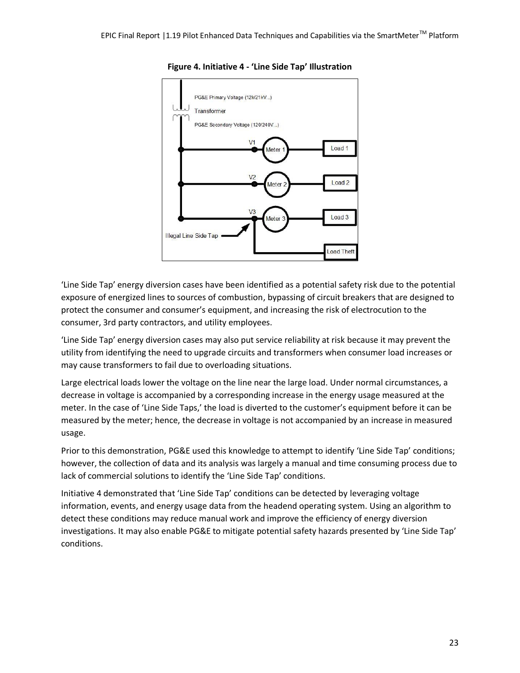



'Line Side Tap' energy diversion cases have been identified as a potential safety risk due to the potential exposure of energized lines to sources of combustion, bypassing of circuit breakers that are designed to protect the consumer and consumer's equipment, and increasing the risk of electrocution to the consumer, 3rd party contractors, and utility employees.

'Line Side Tap' energy diversion cases may also put service reliability at risk because it may prevent the utility from identifying the need to upgrade circuits and transformers when consumer load increases or may cause transformers to fail due to overloading situations.

Large electrical loads lower the voltage on the line near the large load. Under normal circumstances, a decrease in voltage is accompanied by a corresponding increase in the energy usage measured at the meter. In the case of 'Line Side Taps,' the load is diverted to the customer's equipment before it can be measured by the meter; hence, the decrease in voltage is not accompanied by an increase in measured usage.

Prior to this demonstration, PG&E used this knowledge to attempt to identify 'Line Side Tap' conditions; however, the collection of data and its analysis was largely a manual and time consuming process due to lack of commercial solutions to identify the 'Line Side Tap' conditions.

Initiative 4 demonstrated that 'Line Side Tap' conditions can be detected by leveraging voltage information, events, and energy usage data from the headend operating system. Using an algorithm to detect these conditions may reduce manual work and improve the efficiency of energy diversion investigations. It may also enable PG&E to mitigate potential safety hazards presented by 'Line Side Tap' conditions.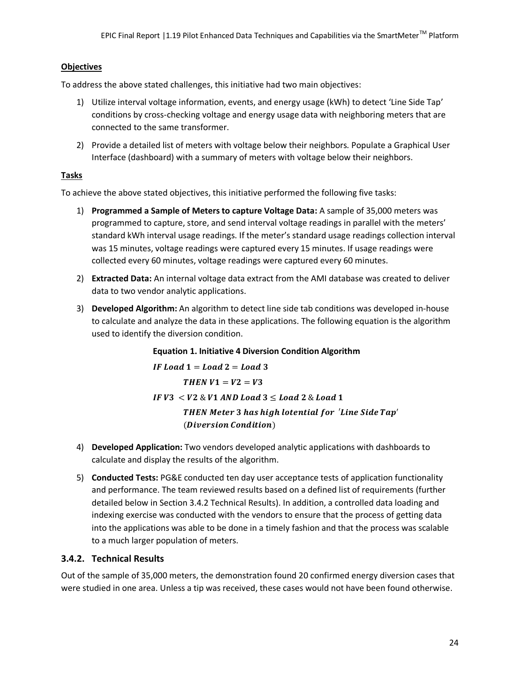#### **Objectives**

To address the above stated challenges, this initiative had two main objectives:

- 1) Utilize interval voltage information, events, and energy usage (kWh) to detect 'Line Side Tap' conditions by cross-checking voltage and energy usage data with neighboring meters that are connected to the same transformer.
- 2) Provide a detailed list of meters with voltage below their neighbors. Populate a Graphical User Interface (dashboard) with a summary of meters with voltage below their neighbors.

#### **Tasks**

To achieve the above stated objectives, this initiative performed the following five tasks:

- 1) **Programmed a Sample of Meters to capture Voltage Data:** A sample of 35,000 meters was programmed to capture, store, and send interval voltage readings in parallel with the meters' standard kWh interval usage readings. If the meter's standard usage readings collection interval was 15 minutes, voltage readings were captured every 15 minutes. If usage readings were collected every 60 minutes, voltage readings were captured every 60 minutes.
- 2) **Extracted Data:** An internal voltage data extract from the AMI database was created to deliver data to two vendor analytic applications.
- 3) **Developed Algorithm:** An algorithm to detect line side tab conditions was developed in-house to calculate and analyze the data in these applications. The following equation is the algorithm used to identify the diversion condition.

**Equation 1. Initiative 4 Diversion Condition Algorithm**

IF Load  $1 =$  Load  $2 =$  Load 3 THEN  $V1 = V2 = V3$  $IFV3 < V2 \& V1$  AND Load  $3 <$  Load 2 & Load 1 THEN Meter 3 has high lotential for 'Line Side Tap' (Diversion Condition)

- 4) **Developed Application:** Two vendors developed analytic applications with dashboards to calculate and display the results of the algorithm.
- 5) **Conducted Tests:** PG&E conducted ten day user acceptance tests of application functionality and performance. The team reviewed results based on a defined list of requirements (further detailed below in Section 3.4.2 Technical Results). In addition, a controlled data loading and indexing exercise was conducted with the vendors to ensure that the process of getting data into the applications was able to be done in a timely fashion and that the process was scalable to a much larger population of meters.

#### **3.4.2. Technical Results**

Out of the sample of 35,000 meters, the demonstration found 20 confirmed energy diversion cases that were studied in one area. Unless a tip was received, these cases would not have been found otherwise.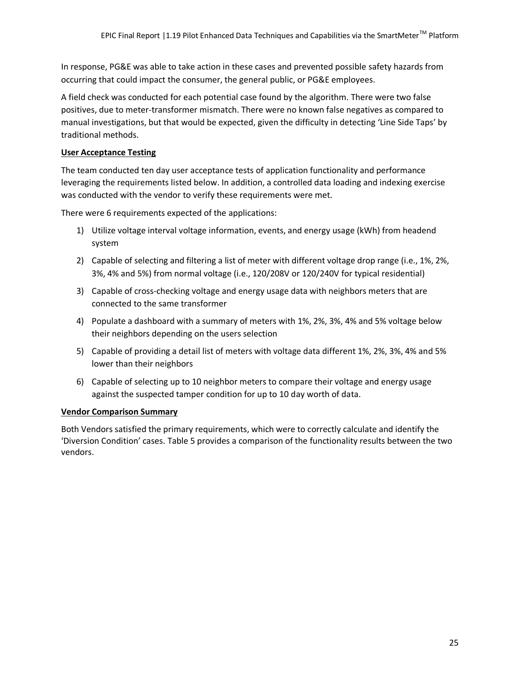In response, PG&E was able to take action in these cases and prevented possible safety hazards from occurring that could impact the consumer, the general public, or PG&E employees.

A field check was conducted for each potential case found by the algorithm. There were two false positives, due to meter-transformer mismatch. There were no known false negatives as compared to manual investigations, but that would be expected, given the difficulty in detecting 'Line Side Taps' by traditional methods.

#### **User Acceptance Testing**

The team conducted ten day user acceptance tests of application functionality and performance leveraging the requirements listed below. In addition, a controlled data loading and indexing exercise was conducted with the vendor to verify these requirements were met.

There were 6 requirements expected of the applications:

- 1) Utilize voltage interval voltage information, events, and energy usage (kWh) from headend system
- 2) Capable of selecting and filtering a list of meter with different voltage drop range (i.e., 1%, 2%, 3%, 4% and 5%) from normal voltage (i.e., 120/208V or 120/240V for typical residential)
- 3) Capable of cross-checking voltage and energy usage data with neighbors meters that are connected to the same transformer
- 4) Populate a dashboard with a summary of meters with 1%, 2%, 3%, 4% and 5% voltage below their neighbors depending on the users selection
- 5) Capable of providing a detail list of meters with voltage data different 1%, 2%, 3%, 4% and 5% lower than their neighbors
- 6) Capable of selecting up to 10 neighbor meters to compare their voltage and energy usage against the suspected tamper condition for up to 10 day worth of data.

#### **Vendor Comparison Summary**

Both Vendors satisfied the primary requirements, which were to correctly calculate and identify the 'Diversion Condition' cases. Table 5 provides a comparison of the functionality results between the two vendors.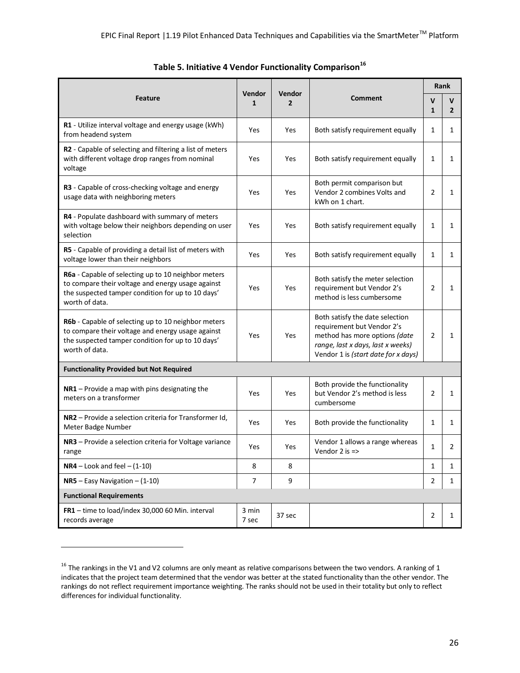| <b>Feature</b>                                                                                                                                                                  |                | <b>Vendor</b>  | <b>Comment</b>                                                                                                                                                             |                | <b>Rank</b>         |  |
|---------------------------------------------------------------------------------------------------------------------------------------------------------------------------------|----------------|----------------|----------------------------------------------------------------------------------------------------------------------------------------------------------------------------|----------------|---------------------|--|
|                                                                                                                                                                                 |                | $\overline{2}$ |                                                                                                                                                                            |                | V<br>$\overline{2}$ |  |
| R1 - Utilize interval voltage and energy usage (kWh)<br>from headend system                                                                                                     | Yes            | Yes            | Both satisfy requirement equally                                                                                                                                           | 1              | 1                   |  |
| R2 - Capable of selecting and filtering a list of meters<br>with different voltage drop ranges from nominal<br>voltage                                                          | Yes            | Yes            | Both satisfy requirement equally                                                                                                                                           | $\mathbf{1}$   | 1                   |  |
| R3 - Capable of cross-checking voltage and energy<br>usage data with neighboring meters                                                                                         |                | Yes            | Both permit comparison but<br>Vendor 2 combines Volts and<br>kWh on 1 chart.                                                                                               | 2              | 1                   |  |
| R4 - Populate dashboard with summary of meters<br>with voltage below their neighbors depending on user<br>selection                                                             | Yes            | Yes            | Both satisfy requirement equally                                                                                                                                           | 1              | 1                   |  |
| R5 - Capable of providing a detail list of meters with<br>voltage lower than their neighbors                                                                                    | Yes            | Yes            | Both satisfy requirement equally                                                                                                                                           | $\mathbf{1}$   | 1                   |  |
| R6a - Capable of selecting up to 10 neighbor meters<br>to compare their voltage and energy usage against<br>the suspected tamper condition for up to 10 days'<br>worth of data. | Yes            | Yes            | Both satisfy the meter selection<br>requirement but Vendor 2's<br>method is less cumbersome                                                                                | $\overline{2}$ | 1                   |  |
| R6b - Capable of selecting up to 10 neighbor meters<br>to compare their voltage and energy usage against<br>the suspected tamper condition for up to 10 days'<br>worth of data. | Yes            | Yes            | Both satisfy the date selection<br>requirement but Vendor 2's<br>method has more options (date<br>range, last x days, last x weeks)<br>Vendor 1 is (start date for x days) | $\overline{2}$ | 1                   |  |
| <b>Functionality Provided but Not Required</b>                                                                                                                                  |                |                |                                                                                                                                                                            |                |                     |  |
| NR1 - Provide a map with pins designating the<br>meters on a transformer                                                                                                        | Yes            | Yes            | Both provide the functionality<br>but Vendor 2's method is less<br>cumbersome                                                                                              | $\overline{2}$ | 1                   |  |
| NR2 - Provide a selection criteria for Transformer Id,<br>Meter Badge Number                                                                                                    | Yes            | Yes            | Both provide the functionality                                                                                                                                             | 1              | 1                   |  |
| NR3 - Provide a selection criteria for Voltage variance<br>range                                                                                                                | Yes            | Yes            | Vendor 1 allows a range whereas<br>Vendor $2$ is $\Rightarrow$                                                                                                             | 1              | 2                   |  |
| $NR4$ – Look and feel – $(1-10)$                                                                                                                                                | 8              | 8              |                                                                                                                                                                            | $\mathbf{1}$   | $\mathbf{1}$        |  |
| $NR5 - Easy Navigation - (1-10)$                                                                                                                                                | $\overline{7}$ | 9              |                                                                                                                                                                            | 2              | 1                   |  |
| <b>Functional Requirements</b>                                                                                                                                                  |                |                |                                                                                                                                                                            |                |                     |  |
| FR1 - time to load/index 30,000 60 Min. interval<br>records average                                                                                                             | 3 min<br>7 sec | 37 sec         |                                                                                                                                                                            | 2              | 1                   |  |

|  |  |  |  | Table 5. Initiative 4 Vendor Functionality Comparison <sup>16</sup> |
|--|--|--|--|---------------------------------------------------------------------|
|--|--|--|--|---------------------------------------------------------------------|

 $\overline{\phantom{a}}$ 

 $16$  The rankings in the V1 and V2 columns are only meant as relative comparisons between the two vendors. A ranking of 1 indicates that the project team determined that the vendor was better at the stated functionality than the other vendor. The rankings do not reflect requirement importance weighting. The ranks should not be used in their totality but only to reflect differences for individual functionality.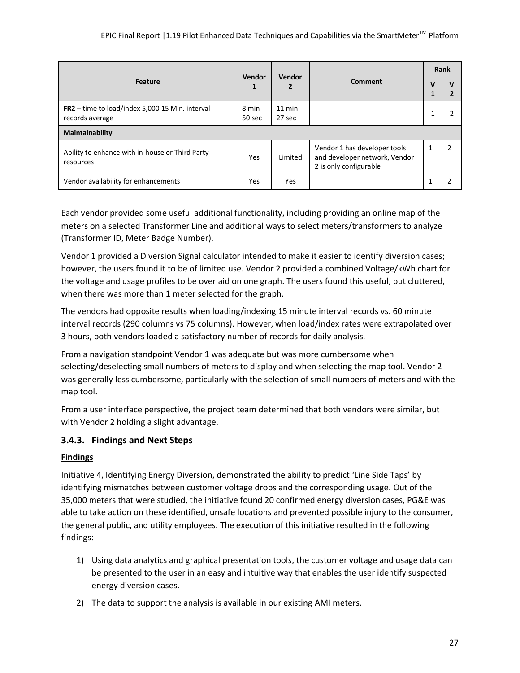|                                                                    | Vendor          | <b>Vendor</b>      |                                                                                         |  | Rank           |  |
|--------------------------------------------------------------------|-----------------|--------------------|-----------------------------------------------------------------------------------------|--|----------------|--|
| <b>Feature</b>                                                     |                 |                    | <b>Comment</b>                                                                          |  |                |  |
| FR2 - time to load/index 5,000 15 Min. interval<br>records average | 8 min<br>50 sec | $11$ min<br>27 sec |                                                                                         |  |                |  |
| Maintainability                                                    |                 |                    |                                                                                         |  |                |  |
| Ability to enhance with in-house or Third Party<br>resources       | Yes             | Limited            | Vendor 1 has developer tools<br>and developer network, Vendor<br>2 is only configurable |  | $\overline{2}$ |  |
| Vendor availability for enhancements                               | Yes             | <b>Yes</b>         |                                                                                         |  |                |  |

Each vendor provided some useful additional functionality, including providing an online map of the meters on a selected Transformer Line and additional ways to select meters/transformers to analyze (Transformer ID, Meter Badge Number).

Vendor 1 provided a Diversion Signal calculator intended to make it easier to identify diversion cases; however, the users found it to be of limited use. Vendor 2 provided a combined Voltage/kWh chart for the voltage and usage profiles to be overlaid on one graph. The users found this useful, but cluttered, when there was more than 1 meter selected for the graph.

The vendors had opposite results when loading/indexing 15 minute interval records vs. 60 minute interval records (290 columns vs 75 columns). However, when load/index rates were extrapolated over 3 hours, both vendors loaded a satisfactory number of records for daily analysis.

From a navigation standpoint Vendor 1 was adequate but was more cumbersome when selecting/deselecting small numbers of meters to display and when selecting the map tool. Vendor 2 was generally less cumbersome, particularly with the selection of small numbers of meters and with the map tool.

From a user interface perspective, the project team determined that both vendors were similar, but with Vendor 2 holding a slight advantage.

## **3.4.3. Findings and Next Steps**

## **Findings**

Initiative 4, Identifying Energy Diversion, demonstrated the ability to predict 'Line Side Taps' by identifying mismatches between customer voltage drops and the corresponding usage. Out of the 35,000 meters that were studied, the initiative found 20 confirmed energy diversion cases, PG&E was able to take action on these identified, unsafe locations and prevented possible injury to the consumer, the general public, and utility employees. The execution of this initiative resulted in the following findings:

- 1) Using data analytics and graphical presentation tools, the customer voltage and usage data can be presented to the user in an easy and intuitive way that enables the user identify suspected energy diversion cases.
- 2) The data to support the analysis is available in our existing AMI meters.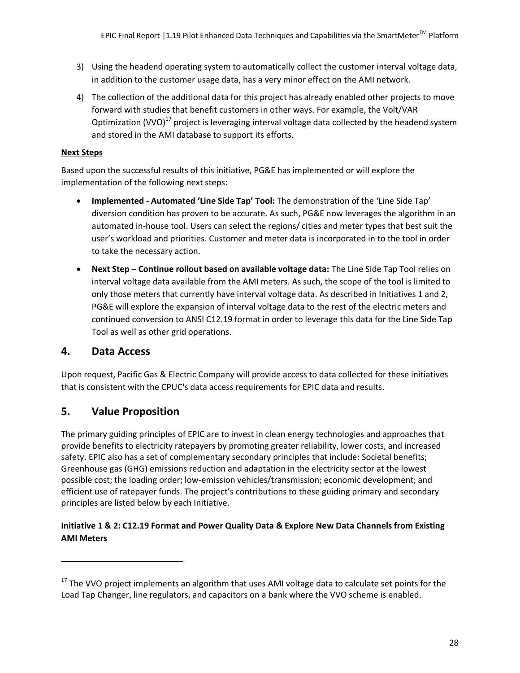- 3) Using the headend operating system to automatically collect the customer interval voltage data, in addition to the customer usage data, has a very minor effect on the AMI network.
- 4) The collection of the additional data for this project has already enabled other projects to move forward with studies that benefit customers in other ways. For example, the Volt/VAR Optimization (VVO) $^{17}$  project is leveraging interval voltage data collected by the headend system and stored in the AMI database to support its efforts.

#### **Next Steps**

Based upon the successful results of this initiative, PG&E has implemented or will explore the implementation of the following next steps:

- **Implemented - Automated 'Line Side Tap' Tool:** The demonstration of the 'Line Side Tap' diversion condition has proven to be accurate. As such, PG&E now leverages the algorithm in an automated in-house tool. Users can select the regions/ cities and meter types that best suit the user's workload and priorities. Customer and meter data is incorporated in to the tool in order to take the necessary action.
- **Next Step – Continue rollout based on available voltage data:** The Line Side Tap Tool relies on interval voltage data available from the AMI meters. As such, the scope of the tool is limited to only those meters that currently have interval voltage data. As described in Initiatives 1 and 2, PG&E will explore the expansion of interval voltage data to the rest of the electric meters and continued conversion to ANSI C12.19 format in order to leverage this data for the Line Side Tap Tool as well as other grid operations.

## **4. Data Access**

 $\overline{a}$ 

Upon request, Pacific Gas & Electric Company will provide access to data collected for these initiatives that is consistent with the CPUC's data access requirements for EPIC data and results.

## **5. Value Proposition**

The primary guiding principles of EPIC are to invest in clean energy technologies and approaches that provide benefits to electricity ratepayers by promoting greater reliability, lower costs, and increased safety. EPIC also has a set of complementary secondary principles that include: Societal benefits; Greenhouse gas (GHG) emissions reduction and adaptation in the electricity sector at the lowest possible cost; the loading order; low-emission vehicles/transmission; economic development; and efficient use of ratepayer funds. The project's contributions to these guiding primary and secondary principles are listed below by each Initiative.

## **Initiative 1 & 2: C12.19 Format and Power Quality Data & Explore New Data Channels from Existing AMI Meters**

<sup>&</sup>lt;sup>17</sup> The VVO project implements an algorithm that uses AMI voltage data to calculate set points for the Load Tap Changer, line regulators, and capacitors on a bank where the VVO scheme is enabled.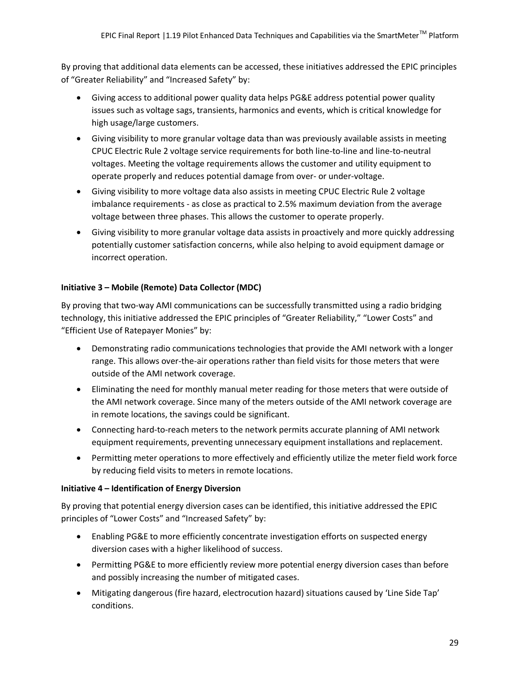By proving that additional data elements can be accessed, these initiatives addressed the EPIC principles of "Greater Reliability" and "Increased Safety" by:

- Giving access to additional power quality data helps PG&E address potential power quality issues such as voltage sags, transients, harmonics and events, which is critical knowledge for high usage/large customers.
- Giving visibility to more granular voltage data than was previously available assists in meeting CPUC Electric Rule 2 voltage service requirements for both line-to-line and line-to-neutral voltages. Meeting the voltage requirements allows the customer and utility equipment to operate properly and reduces potential damage from over- or under-voltage.
- Giving visibility to more voltage data also assists in meeting CPUC Electric Rule 2 voltage imbalance requirements - as close as practical to 2.5% maximum deviation from the average voltage between three phases. This allows the customer to operate properly.
- Giving visibility to more granular voltage data assists in proactively and more quickly addressing potentially customer satisfaction concerns, while also helping to avoid equipment damage or incorrect operation.

### **Initiative 3 – Mobile (Remote) Data Collector (MDC)**

By proving that two-way AMI communications can be successfully transmitted using a radio bridging technology, this initiative addressed the EPIC principles of "Greater Reliability," "Lower Costs" and "Efficient Use of Ratepayer Monies" by:

- Demonstrating radio communications technologies that provide the AMI network with a longer range. This allows over-the-air operations rather than field visits for those meters that were outside of the AMI network coverage.
- Eliminating the need for monthly manual meter reading for those meters that were outside of the AMI network coverage. Since many of the meters outside of the AMI network coverage are in remote locations, the savings could be significant.
- Connecting hard-to-reach meters to the network permits accurate planning of AMI network equipment requirements, preventing unnecessary equipment installations and replacement.
- Permitting meter operations to more effectively and efficiently utilize the meter field work force by reducing field visits to meters in remote locations.

#### **Initiative 4 – Identification of Energy Diversion**

By proving that potential energy diversion cases can be identified, this initiative addressed the EPIC principles of "Lower Costs" and "Increased Safety" by:

- Enabling PG&E to more efficiently concentrate investigation efforts on suspected energy diversion cases with a higher likelihood of success.
- Permitting PG&E to more efficiently review more potential energy diversion cases than before and possibly increasing the number of mitigated cases.
- Mitigating dangerous (fire hazard, electrocution hazard) situations caused by 'Line Side Tap' conditions.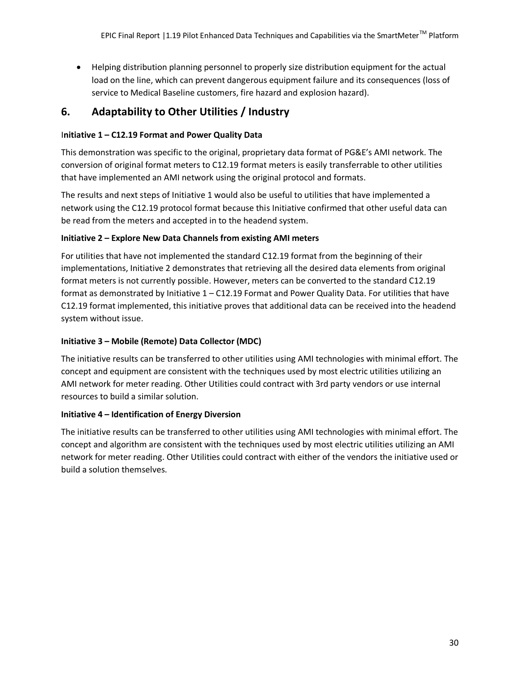Helping distribution planning personnel to properly size distribution equipment for the actual load on the line, which can prevent dangerous equipment failure and its consequences (loss of service to Medical Baseline customers, fire hazard and explosion hazard).

## **6. Adaptability to Other Utilities / Industry**

#### I**nitiative 1 – C12.19 Format and Power Quality Data**

This demonstration was specific to the original, proprietary data format of PG&E's AMI network. The conversion of original format meters to C12.19 format meters is easily transferrable to other utilities that have implemented an AMI network using the original protocol and formats.

The results and next steps of Initiative 1 would also be useful to utilities that have implemented a network using the C12.19 protocol format because this Initiative confirmed that other useful data can be read from the meters and accepted in to the headend system.

#### **Initiative 2 – Explore New Data Channels from existing AMI meters**

For utilities that have not implemented the standard C12.19 format from the beginning of their implementations, Initiative 2 demonstrates that retrieving all the desired data elements from original format meters is not currently possible. However, meters can be converted to the standard C12.19 format as demonstrated by Initiative 1 – C12.19 Format and Power Quality Data. For utilities that have C12.19 format implemented, this initiative proves that additional data can be received into the headend system without issue.

#### **Initiative 3 – Mobile (Remote) Data Collector (MDC)**

The initiative results can be transferred to other utilities using AMI technologies with minimal effort. The concept and equipment are consistent with the techniques used by most electric utilities utilizing an AMI network for meter reading. Other Utilities could contract with 3rd party vendors or use internal resources to build a similar solution.

#### **Initiative 4 – Identification of Energy Diversion**

The initiative results can be transferred to other utilities using AMI technologies with minimal effort. The concept and algorithm are consistent with the techniques used by most electric utilities utilizing an AMI network for meter reading. Other Utilities could contract with either of the vendors the initiative used or build a solution themselves.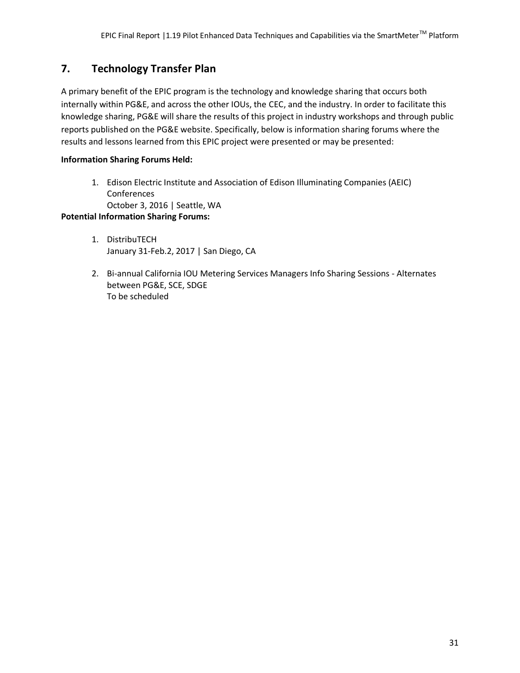## **7. Technology Transfer Plan**

A primary benefit of the EPIC program is the technology and knowledge sharing that occurs both internally within PG&E, and across the other IOUs, the CEC, and the industry. In order to facilitate this knowledge sharing, PG&E will share the results of this project in industry workshops and through public reports published on the PG&E website. Specifically, below is information sharing forums where the results and lessons learned from this EPIC project were presented or may be presented:

### **Information Sharing Forums Held:**

1. Edison Electric Institute and Association of Edison Illuminating Companies (AEIC) Conferences

October 3, 2016 | Seattle, WA

### **Potential Information Sharing Forums:**

- 1. DistribuTECH January 31-Feb.2, 2017 | San Diego, CA
- 2. Bi-annual California IOU Metering Services Managers Info Sharing Sessions Alternates between PG&E, SCE, SDGE To be scheduled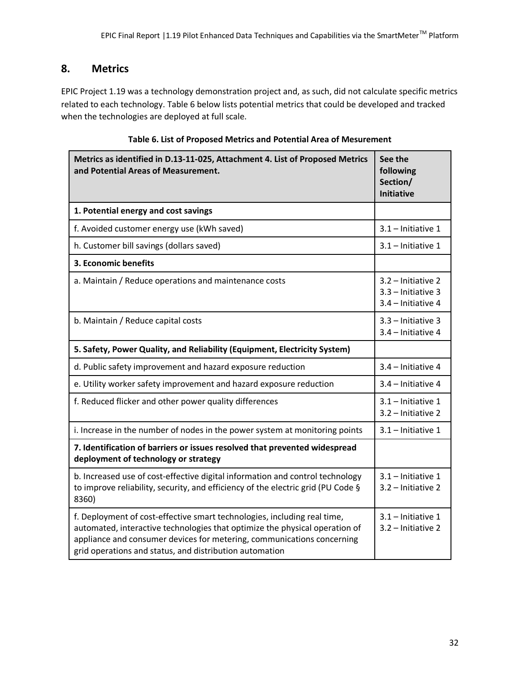## **8. Metrics**

EPIC Project 1.19 was a technology demonstration project and, as such, did not calculate specific metrics related to each technology. Table 6 below lists potential metrics that could be developed and tracked when the technologies are deployed at full scale.

| Metrics as identified in D.13-11-025, Attachment 4. List of Proposed Metrics<br>and Potential Areas of Measurement.                                                                                                                                                                          | See the<br>following<br>Section/<br><b>Initiative</b>              |
|----------------------------------------------------------------------------------------------------------------------------------------------------------------------------------------------------------------------------------------------------------------------------------------------|--------------------------------------------------------------------|
| 1. Potential energy and cost savings                                                                                                                                                                                                                                                         |                                                                    |
| f. Avoided customer energy use (kWh saved)                                                                                                                                                                                                                                                   | $3.1 -$ Initiative 1                                               |
| h. Customer bill savings (dollars saved)                                                                                                                                                                                                                                                     | $3.1$ - Initiative 1                                               |
| 3. Economic benefits                                                                                                                                                                                                                                                                         |                                                                    |
| a. Maintain / Reduce operations and maintenance costs                                                                                                                                                                                                                                        | 3.2 - Initiative 2<br>$3.3$ - Initiative 3<br>$3.4$ – Initiative 4 |
| b. Maintain / Reduce capital costs                                                                                                                                                                                                                                                           | 3.3 - Initiative 3<br>3.4 - Initiative 4                           |
| 5. Safety, Power Quality, and Reliability (Equipment, Electricity System)                                                                                                                                                                                                                    |                                                                    |
| d. Public safety improvement and hazard exposure reduction                                                                                                                                                                                                                                   | 3.4 - Initiative 4                                                 |
| e. Utility worker safety improvement and hazard exposure reduction                                                                                                                                                                                                                           | 3.4 - Initiative 4                                                 |
| f. Reduced flicker and other power quality differences                                                                                                                                                                                                                                       | $3.1$ - Initiative 1<br>$3.2$ – Initiative 2                       |
| i. Increase in the number of nodes in the power system at monitoring points                                                                                                                                                                                                                  | 3.1 - Initiative 1                                                 |
| 7. Identification of barriers or issues resolved that prevented widespread<br>deployment of technology or strategy                                                                                                                                                                           |                                                                    |
| b. Increased use of cost-effective digital information and control technology<br>to improve reliability, security, and efficiency of the electric grid (PU Code §<br>8360)                                                                                                                   | $3.1$ – Initiative 1<br>3.2 - Initiative 2                         |
| f. Deployment of cost-effective smart technologies, including real time,<br>automated, interactive technologies that optimize the physical operation of<br>appliance and consumer devices for metering, communications concerning<br>grid operations and status, and distribution automation | 3.1 - Initiative 1<br>$3.2$ – Initiative 2                         |

| Table 6. List of Proposed Metrics and Potential Area of Mesurement |  |  |
|--------------------------------------------------------------------|--|--|
|--------------------------------------------------------------------|--|--|